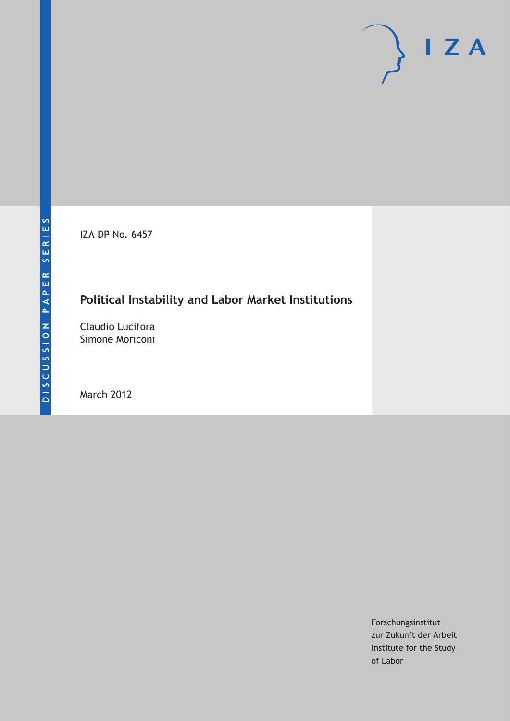IZA DP No. 6457

## **Political Instability and Labor Market Institutions**

Claudio Lucifora Simone Moriconi

March 2012

Forschungsinstitut zur Zukunft der Arbeit Institute for the Study of Labor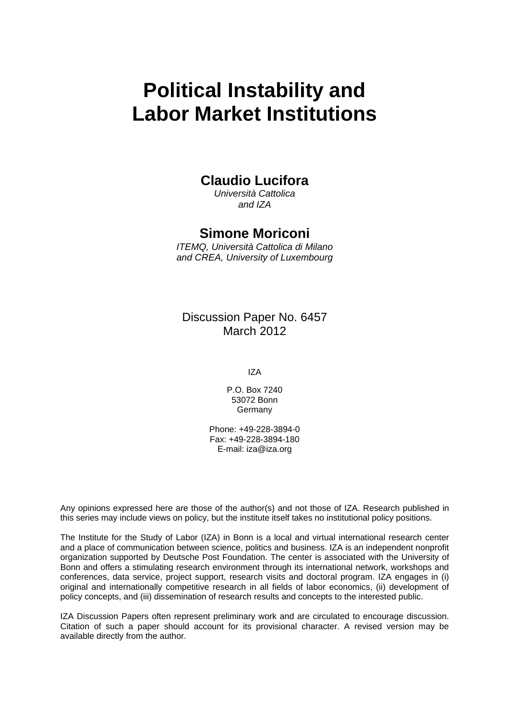# **Political Instability and Labor Market Institutions**

## **Claudio Lucifora**

*Università Cattolica and IZA* 

## **Simone Moriconi**

*ITEMQ, Università Cattolica di Milano and CREA, University of Luxembourg* 

Discussion Paper No. 6457 March 2012

IZA

P.O. Box 7240 53072 Bonn Germany

Phone: +49-228-3894-0 Fax: +49-228-3894-180 E-mail: [iza@iza.org](mailto:iza@iza.org)

Any opinions expressed here are those of the author(s) and not those of IZA. Research published in this series may include views on policy, but the institute itself takes no institutional policy positions.

The Institute for the Study of Labor (IZA) in Bonn is a local and virtual international research center and a place of communication between science, politics and business. IZA is an independent nonprofit organization supported by Deutsche Post Foundation. The center is associated with the University of Bonn and offers a stimulating research environment through its international network, workshops and conferences, data service, project support, research visits and doctoral program. IZA engages in (i) original and internationally competitive research in all fields of labor economics, (ii) development of policy concepts, and (iii) dissemination of research results and concepts to the interested public.

IZA Discussion Papers often represent preliminary work and are circulated to encourage discussion. Citation of such a paper should account for its provisional character. A revised version may be available directly from the author.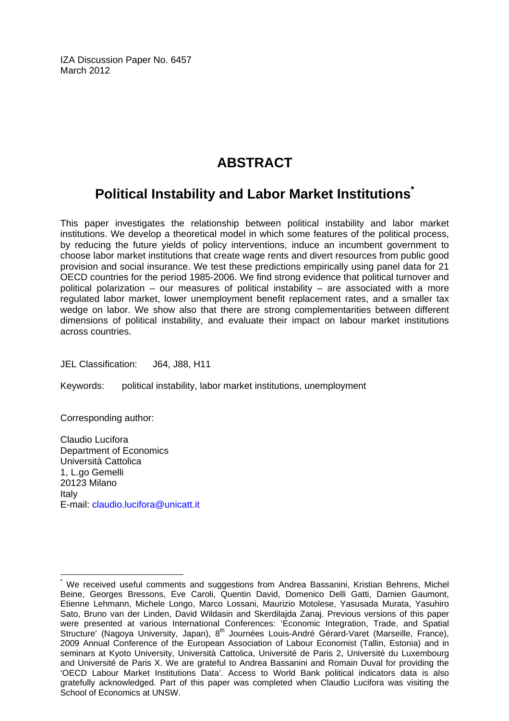IZA Discussion Paper No. 6457 March 2012

## **ABSTRACT**

## **Political Instability and Labor Market Institution[s\\*](#page-2-0)**

This paper investigates the relationship between political instability and labor market institutions. We develop a theoretical model in which some features of the political process, by reducing the future yields of policy interventions, induce an incumbent government to choose labor market institutions that create wage rents and divert resources from public good provision and social insurance. We test these predictions empirically using panel data for 21 OECD countries for the period 1985-2006. We find strong evidence that political turnover and political polarization – our measures of political instability – are associated with a more regulated labor market, lower unemployment benefit replacement rates, and a smaller tax wedge on labor. We show also that there are strong complementarities between different dimensions of political instability, and evaluate their impact on labour market institutions across countries.

JEL Classification: J64, J88, H11

Keywords: political instability, labor market institutions, unemployment

Corresponding author:

Claudio Lucifora Department of Economics Università Cattolica 1, L.go Gemelli 20123 Milano Italy E-mail: [claudio.lucifora@unicatt.it](mailto:claudio.lucifora@unicatt.it)

<span id="page-2-0"></span> $\overline{a}$ \* We received useful comments and suggestions from Andrea Bassanini, Kristian Behrens, Michel Beine, Georges Bressons, Eve Caroli, Quentin David, Domenico Delli Gatti, Damien Gaumont, Etienne Lehmann, Michele Longo, Marco Lossani, Maurizio Motolese, Yasusada Murata, Yasuhiro Sato, Bruno van der Linden, David Wildasin and Skerdilajda Zanaj. Previous versions of this paper were presented at various International Conferences: 'Economic Integration, Trade, and Spatial Structure' (Nagoya University, Japan), 8<sup>th</sup> Journées Louis-André Gérard-Varet (Marseille, France), 2009 Annual Conference of the European Association of Labour Economist (Tallin, Estonia) and in seminars at Kyoto University, Università Cattolica, Université de Paris 2, Université du Luxembourg and Université de Paris X. We are grateful to Andrea Bassanini and Romain Duval for providing the 'OECD Labour Market Institutions Data'. Access to World Bank political indicators data is also gratefully acknowledged. Part of this paper was completed when Claudio Lucifora was visiting the School of Economics at UNSW.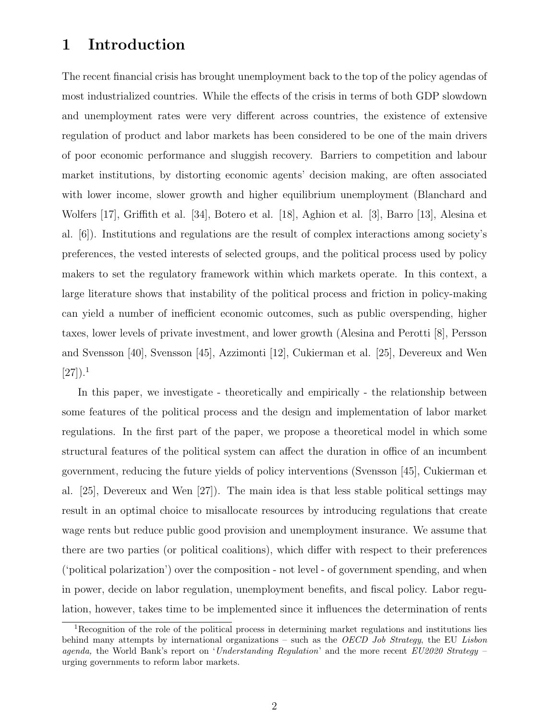## 1 Introduction

The recent financial crisis has brought unemployment back to the top of the policy agendas of most industrialized countries. While the effects of the crisis in terms of both GDP slowdown and unemployment rates were very different across countries, the existence of extensive regulation of product and labor markets has been considered to be one of the main drivers of poor economic performance and sluggish recovery. Barriers to competition and labour market institutions, by distorting economic agents' decision making, are often associated with lower income, slower growth and higher equilibrium unemployment (Blanchard and Wolfers [17], Griffith et al. [34], Botero et al. [18], Aghion et al. [3], Barro [13], Alesina et al. [6]). Institutions and regulations are the result of complex interactions among society's preferences, the vested interests of selected groups, and the political process used by policy makers to set the regulatory framework within which markets operate. In this context, a large literature shows that instability of the political process and friction in policy-making can yield a number of inefficient economic outcomes, such as public overspending, higher taxes, lower levels of private investment, and lower growth (Alesina and Perotti [8], Persson and Svensson [40], Svensson [45], Azzimonti [12], Cukierman et al. [25], Devereux and Wen  $[27]$ ).<sup>1</sup>

In this paper, we investigate - theoretically and empirically - the relationship between some features of the political process and the design and implementation of labor market regulations. In the first part of the paper, we propose a theoretical model in which some structural features of the political system can affect the duration in office of an incumbent government, reducing the future yields of policy interventions (Svensson [45], Cukierman et al. [25], Devereux and Wen [27]). The main idea is that less stable political settings may result in an optimal choice to misallocate resources by introducing regulations that create wage rents but reduce public good provision and unemployment insurance. We assume that there are two parties (or political coalitions), which differ with respect to their preferences ('political polarization') over the composition - not level - of government spending, and when in power, decide on labor regulation, unemployment benefits, and fiscal policy. Labor regulation, however, takes time to be implemented since it influences the determination of rents

<sup>&</sup>lt;sup>1</sup>Recognition of the role of the political process in determining market regulations and institutions lies behind many attempts by international organizations – such as the OECD Job Strategy, the EU Lisbon agenda, the World Bank's report on 'Understanding Regulation' and the more recent  $EU2020$  Strategy – urging governments to reform labor markets.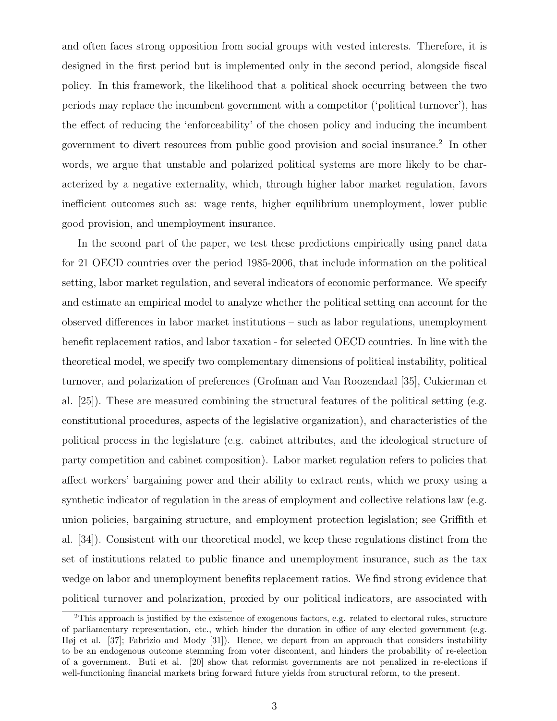and often faces strong opposition from social groups with vested interests. Therefore, it is designed in the first period but is implemented only in the second period, alongside fiscal policy. In this framework, the likelihood that a political shock occurring between the two periods may replace the incumbent government with a competitor ('political turnover'), has the effect of reducing the 'enforceability' of the chosen policy and inducing the incumbent government to divert resources from public good provision and social insurance.<sup>2</sup> In other words, we argue that unstable and polarized political systems are more likely to be characterized by a negative externality, which, through higher labor market regulation, favors inefficient outcomes such as: wage rents, higher equilibrium unemployment, lower public good provision, and unemployment insurance.

In the second part of the paper, we test these predictions empirically using panel data for 21 OECD countries over the period 1985-2006, that include information on the political setting, labor market regulation, and several indicators of economic performance. We specify and estimate an empirical model to analyze whether the political setting can account for the observed differences in labor market institutions – such as labor regulations, unemployment benefit replacement ratios, and labor taxation - for selected OECD countries. In line with the theoretical model, we specify two complementary dimensions of political instability, political turnover, and polarization of preferences (Grofman and Van Roozendaal [35], Cukierman et al. [25]). These are measured combining the structural features of the political setting (e.g. constitutional procedures, aspects of the legislative organization), and characteristics of the political process in the legislature (e.g. cabinet attributes, and the ideological structure of party competition and cabinet composition). Labor market regulation refers to policies that affect workers' bargaining power and their ability to extract rents, which we proxy using a synthetic indicator of regulation in the areas of employment and collective relations law (e.g. union policies, bargaining structure, and employment protection legislation; see Griffith et al. [34]). Consistent with our theoretical model, we keep these regulations distinct from the set of institutions related to public finance and unemployment insurance, such as the tax wedge on labor and unemployment benefits replacement ratios. We find strong evidence that political turnover and polarization, proxied by our political indicators, are associated with

<sup>2</sup>This approach is justified by the existence of exogenous factors, e.g. related to electoral rules, structure of parliamentary representation, etc., which hinder the duration in office of any elected government (e.g. Høj et al. [37]; Fabrizio and Mody [31]). Hence, we depart from an approach that considers instability to be an endogenous outcome stemming from voter discontent, and hinders the probability of re-election of a government. Buti et al. [20] show that reformist governments are not penalized in re-elections if well-functioning financial markets bring forward future yields from structural reform, to the present.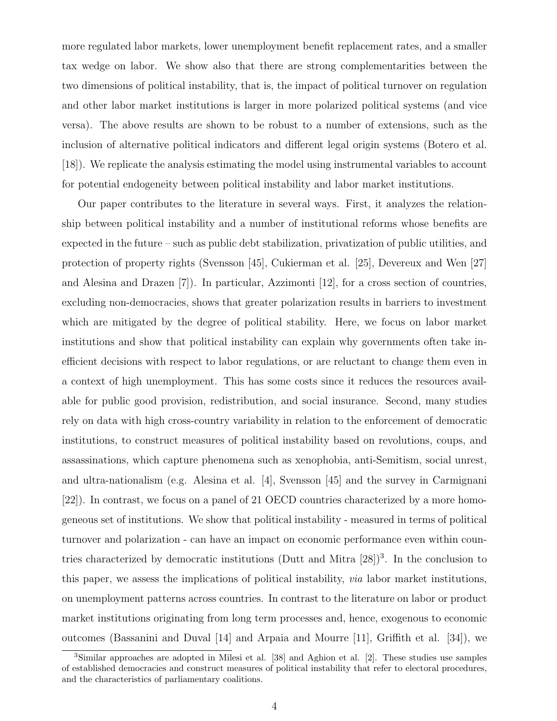more regulated labor markets, lower unemployment benefit replacement rates, and a smaller tax wedge on labor. We show also that there are strong complementarities between the two dimensions of political instability, that is, the impact of political turnover on regulation and other labor market institutions is larger in more polarized political systems (and vice versa). The above results are shown to be robust to a number of extensions, such as the inclusion of alternative political indicators and different legal origin systems (Botero et al. [18]). We replicate the analysis estimating the model using instrumental variables to account for potential endogeneity between political instability and labor market institutions.

Our paper contributes to the literature in several ways. First, it analyzes the relationship between political instability and a number of institutional reforms whose benefits are expected in the future – such as public debt stabilization, privatization of public utilities, and protection of property rights (Svensson [45], Cukierman et al. [25], Devereux and Wen [27] and Alesina and Drazen [7]). In particular, Azzimonti [12], for a cross section of countries, excluding non-democracies, shows that greater polarization results in barriers to investment which are mitigated by the degree of political stability. Here, we focus on labor market institutions and show that political instability can explain why governments often take inefficient decisions with respect to labor regulations, or are reluctant to change them even in a context of high unemployment. This has some costs since it reduces the resources available for public good provision, redistribution, and social insurance. Second, many studies rely on data with high cross-country variability in relation to the enforcement of democratic institutions, to construct measures of political instability based on revolutions, coups, and assassinations, which capture phenomena such as xenophobia, anti-Semitism, social unrest, and ultra-nationalism (e.g. Alesina et al. [4], Svensson [45] and the survey in Carmignani [22]). In contrast, we focus on a panel of 21 OECD countries characterized by a more homogeneous set of institutions. We show that political instability - measured in terms of political turnover and polarization - can have an impact on economic performance even within countries characterized by democratic institutions (Dutt and Mitra  $[28]$ )<sup>3</sup>. In the conclusion to this paper, we assess the implications of political instability, via labor market institutions, on unemployment patterns across countries. In contrast to the literature on labor or product market institutions originating from long term processes and, hence, exogenous to economic outcomes (Bassanini and Duval [14] and Arpaia and Mourre [11], Griffith et al. [34]), we

<sup>3</sup>Similar approaches are adopted in Milesi et al. [38] and Aghion et al. [2]. These studies use samples of established democracies and construct measures of political instability that refer to electoral procedures, and the characteristics of parliamentary coalitions.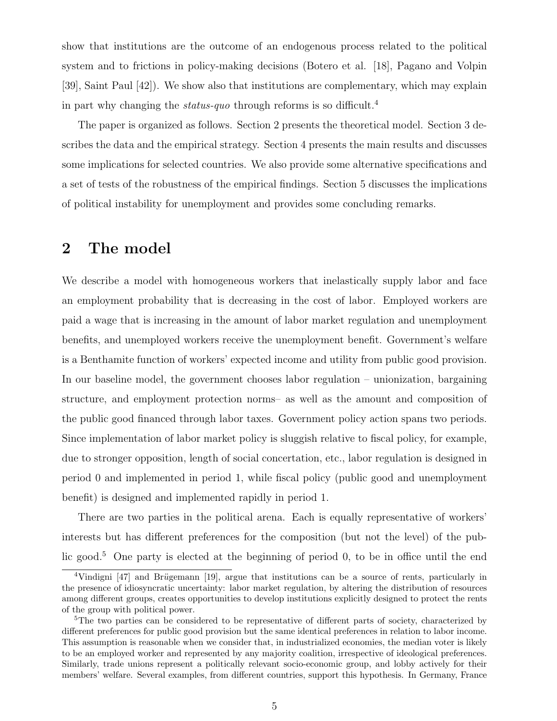show that institutions are the outcome of an endogenous process related to the political system and to frictions in policy-making decisions (Botero et al. [18], Pagano and Volpin [39], Saint Paul [42]). We show also that institutions are complementary, which may explain in part why changing the *status-quo* through reforms is so difficult.<sup>4</sup>

The paper is organized as follows. Section 2 presents the theoretical model. Section 3 describes the data and the empirical strategy. Section 4 presents the main results and discusses some implications for selected countries. We also provide some alternative specifications and a set of tests of the robustness of the empirical findings. Section 5 discusses the implications of political instability for unemployment and provides some concluding remarks.

### 2 The model

We describe a model with homogeneous workers that inelastically supply labor and face an employment probability that is decreasing in the cost of labor. Employed workers are paid a wage that is increasing in the amount of labor market regulation and unemployment benefits, and unemployed workers receive the unemployment benefit. Government's welfare is a Benthamite function of workers' expected income and utility from public good provision. In our baseline model, the government chooses labor regulation – unionization, bargaining structure, and employment protection norms– as well as the amount and composition of the public good financed through labor taxes. Government policy action spans two periods. Since implementation of labor market policy is sluggish relative to fiscal policy, for example, due to stronger opposition, length of social concertation, etc., labor regulation is designed in period 0 and implemented in period 1, while fiscal policy (public good and unemployment benefit) is designed and implemented rapidly in period 1.

There are two parties in the political arena. Each is equally representative of workers' interests but has different preferences for the composition (but not the level) of the public good.<sup>5</sup> One party is elected at the beginning of period 0, to be in office until the end

 $4$ Vindigni [47] and Brügemann [19], argue that institutions can be a source of rents, particularly in the presence of idiosyncratic uncertainty: labor market regulation, by altering the distribution of resources among different groups, creates opportunities to develop institutions explicitly designed to protect the rents of the group with political power.

<sup>&</sup>lt;sup>5</sup>The two parties can be considered to be representative of different parts of society, characterized by different preferences for public good provision but the same identical preferences in relation to labor income. This assumption is reasonable when we consider that, in industrialized economies, the median voter is likely to be an employed worker and represented by any majority coalition, irrespective of ideological preferences. Similarly, trade unions represent a politically relevant socio-economic group, and lobby actively for their members' welfare. Several examples, from different countries, support this hypothesis. In Germany, France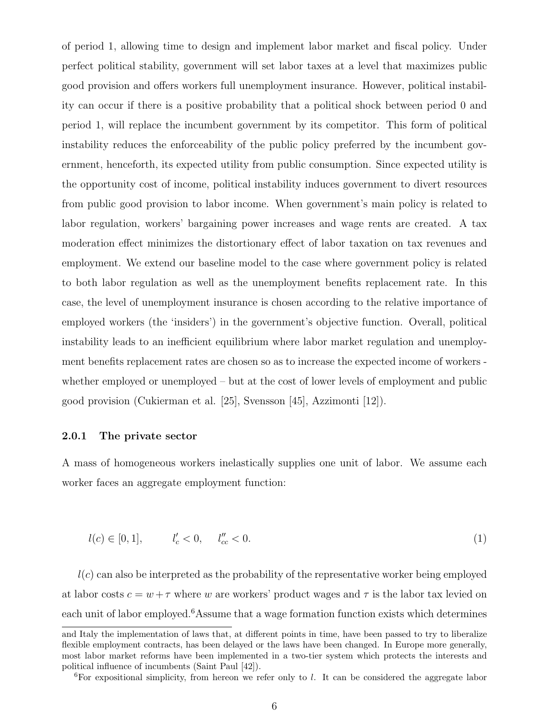of period 1, allowing time to design and implement labor market and fiscal policy. Under perfect political stability, government will set labor taxes at a level that maximizes public good provision and offers workers full unemployment insurance. However, political instability can occur if there is a positive probability that a political shock between period 0 and period 1, will replace the incumbent government by its competitor. This form of political instability reduces the enforceability of the public policy preferred by the incumbent government, henceforth, its expected utility from public consumption. Since expected utility is the opportunity cost of income, political instability induces government to divert resources from public good provision to labor income. When government's main policy is related to labor regulation, workers' bargaining power increases and wage rents are created. A tax moderation effect minimizes the distortionary effect of labor taxation on tax revenues and employment. We extend our baseline model to the case where government policy is related to both labor regulation as well as the unemployment benefits replacement rate. In this case, the level of unemployment insurance is chosen according to the relative importance of employed workers (the 'insiders') in the government's objective function. Overall, political instability leads to an inefficient equilibrium where labor market regulation and unemployment benefits replacement rates are chosen so as to increase the expected income of workers whether employed or unemployed – but at the cost of lower levels of employment and public good provision (Cukierman et al. [25], Svensson [45], Azzimonti [12]).

#### 2.0.1 The private sector

A mass of homogeneous workers inelastically supplies one unit of labor. We assume each worker faces an aggregate employment function:

$$
l(c) \in [0, 1], \t l'_c < 0, \t l''_{cc} < 0. \t (1)
$$

 $l(c)$  can also be interpreted as the probability of the representative worker being employed at labor costs  $c = w + \tau$  where w are workers' product wages and  $\tau$  is the labor tax levied on each unit of labor employed.<sup>6</sup>Assume that a wage formation function exists which determines

 ${}^{6}$ For expositional simplicity, from hereon we refer only to l. It can be considered the aggregate labor

and Italy the implementation of laws that, at different points in time, have been passed to try to liberalize flexible employment contracts, has been delayed or the laws have been changed. In Europe more generally, most labor market reforms have been implemented in a two-tier system which protects the interests and political influence of incumbents (Saint Paul [42]).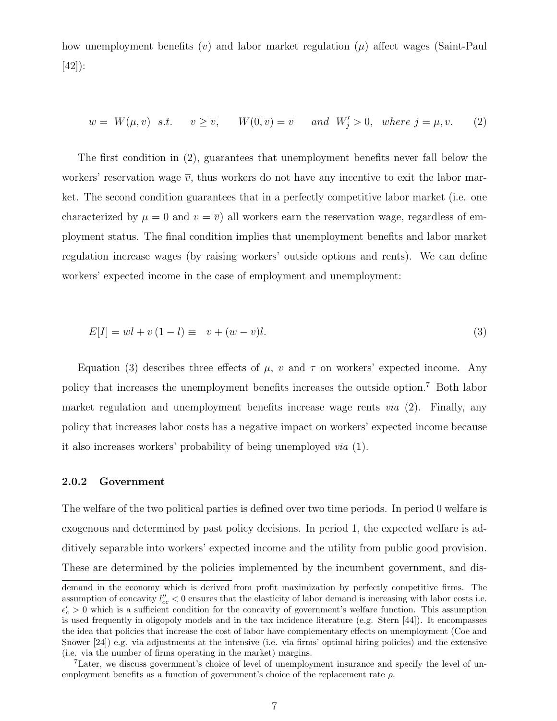how unemployment benefits  $(v)$  and labor market regulation  $(\mu)$  affect wages (Saint-Paul [42]):

$$
w = W(\mu, v) \quad s.t. \qquad v \ge \overline{v}, \qquad W(0, \overline{v}) = \overline{v} \qquad and \quad W'_j > 0, \quad where \quad j = \mu, v. \tag{2}
$$

The first condition in (2), guarantees that unemployment benefits never fall below the workers' reservation wage  $\overline{v}$ , thus workers do not have any incentive to exit the labor market. The second condition guarantees that in a perfectly competitive labor market (i.e. one characterized by  $\mu = 0$  and  $v = \overline{v}$ ) all workers earn the reservation wage, regardless of employment status. The final condition implies that unemployment benefits and labor market regulation increase wages (by raising workers' outside options and rents). We can define workers' expected income in the case of employment and unemployment:

$$
E[I] = wl + v(1 - l) \equiv v + (w - v)l. \tag{3}
$$

Equation (3) describes three effects of  $\mu$ , v and  $\tau$  on workers' expected income. Any policy that increases the unemployment benefits increases the outside option.<sup>7</sup> Both labor market regulation and unemployment benefits increase wage rents  $via$  (2). Finally, any policy that increases labor costs has a negative impact on workers' expected income because it also increases workers' probability of being unemployed via (1).

#### 2.0.2 Government

The welfare of the two political parties is defined over two time periods. In period 0 welfare is exogenous and determined by past policy decisions. In period 1, the expected welfare is additively separable into workers' expected income and the utility from public good provision. These are determined by the policies implemented by the incumbent government, and dis-

demand in the economy which is derived from profit maximization by perfectly competitive firms. The assumption of concavity  $l''_{cc} < 0$  ensures that the elasticity of labor demand is increasing with labor costs i.e.  $\epsilon'_{c} > 0$  which is a sufficient condition for the concavity of government's welfare function. This assumption is used frequently in oligopoly models and in the tax incidence literature (e.g. Stern [44]). It encompasses the idea that policies that increase the cost of labor have complementary effects on unemployment (Coe and Snower [24]) e.g. via adjustments at the intensive (i.e. via firms' optimal hiring policies) and the extensive (i.e. via the number of firms operating in the market) margins.

<sup>7</sup>Later, we discuss government's choice of level of unemployment insurance and specify the level of unemployment benefits as a function of government's choice of the replacement rate  $\rho$ .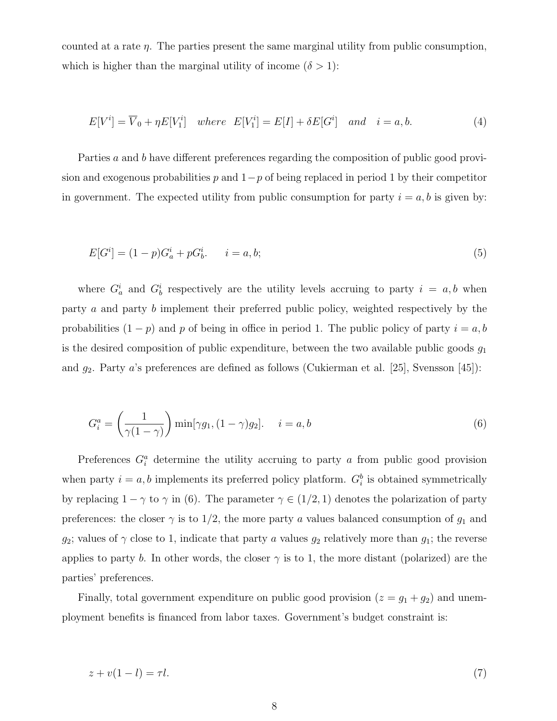counted at a rate  $\eta$ . The parties present the same marginal utility from public consumption, which is higher than the marginal utility of income  $(\delta > 1)$ :

$$
E[Vi] = \overline{V}_0 + \eta E[V_1i] \quad where \quad E[V_1i] = E[I] + \delta E[Gi] \quad and \quad i = a, b. \tag{4}
$$

Parties a and b have different preferences regarding the composition of public good provision and exogenous probabilities p and  $1-p$  of being replaced in period 1 by their competitor in government. The expected utility from public consumption for party  $i = a, b$  is given by:

$$
E[G^i] = (1 - p)G^i_a + pG^i_b. \t i = a, b; \t (5)
$$

where  $G_a^i$  and  $G_b^i$  respectively are the utility levels accruing to party  $i = a, b$  when party a and party b implement their preferred public policy, weighted respectively by the probabilities  $(1 - p)$  and p of being in office in period 1. The public policy of party  $i = a, b$ is the desired composition of public expenditure, between the two available public goods  $g_1$ and  $g_2$ . Party a's preferences are defined as follows (Cukierman et al. [25], Svensson [45]):

$$
G_i^a = \left(\frac{1}{\gamma(1-\gamma)}\right) \min[\gamma g_1, (1-\gamma)g_2]. \quad i = a, b \tag{6}
$$

Preferences  $G_i^a$  determine the utility accruing to party a from public good provision when party  $i = a, b$  implements its preferred policy platform.  $G_i^b$  is obtained symmetrically by replacing  $1 - \gamma$  to  $\gamma$  in (6). The parameter  $\gamma \in (1/2, 1)$  denotes the polarization of party preferences: the closer  $\gamma$  is to 1/2, the more party a values balanced consumption of  $g_1$  and  $g_2$ ; values of  $\gamma$  close to 1, indicate that party a values  $g_2$  relatively more than  $g_1$ ; the reverse applies to party b. In other words, the closer  $\gamma$  is to 1, the more distant (polarized) are the parties' preferences.

Finally, total government expenditure on public good provision  $(z = g_1 + g_2)$  and unemployment benefits is financed from labor taxes. Government's budget constraint is:

$$
z + v(1 - l) = \tau l. \tag{7}
$$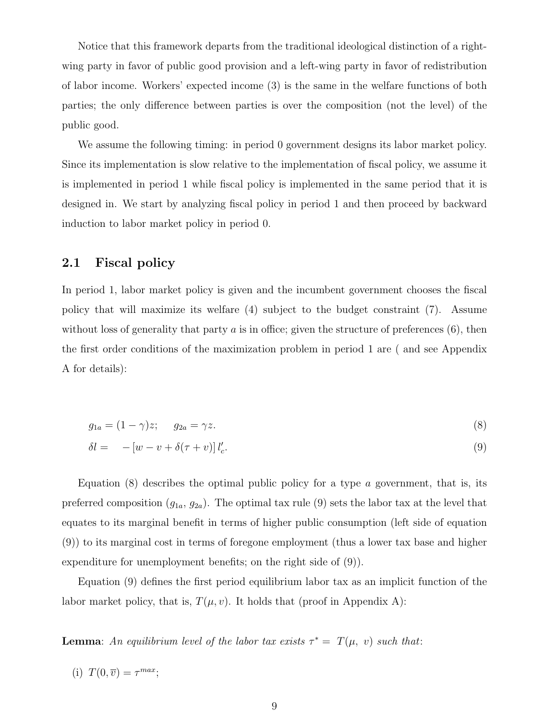Notice that this framework departs from the traditional ideological distinction of a rightwing party in favor of public good provision and a left-wing party in favor of redistribution of labor income. Workers' expected income (3) is the same in the welfare functions of both parties; the only difference between parties is over the composition (not the level) of the public good.

We assume the following timing: in period 0 government designs its labor market policy. Since its implementation is slow relative to the implementation of fiscal policy, we assume it is implemented in period 1 while fiscal policy is implemented in the same period that it is designed in. We start by analyzing fiscal policy in period 1 and then proceed by backward induction to labor market policy in period 0.

#### 2.1 Fiscal policy

In period 1, labor market policy is given and the incumbent government chooses the fiscal policy that will maximize its welfare (4) subject to the budget constraint (7). Assume without loss of generality that party  $a$  is in office; given the structure of preferences  $(6)$ , then the first order conditions of the maximization problem in period 1 are ( and see Appendix A for details):

$$
g_{1a} = (1 - \gamma)z; \qquad g_{2a} = \gamma z. \tag{8}
$$

$$
\delta l = -[w - v + \delta(\tau + v)] l_c'.
$$
\n(9)

Equation (8) describes the optimal public policy for a type  $\alpha$  government, that is, its preferred composition  $(g_{1a}, g_{2a})$ . The optimal tax rule (9) sets the labor tax at the level that equates to its marginal benefit in terms of higher public consumption (left side of equation (9)) to its marginal cost in terms of foregone employment (thus a lower tax base and higher expenditure for unemployment benefits; on the right side of (9)).

Equation (9) defines the first period equilibrium labor tax as an implicit function of the labor market policy, that is,  $T(\mu, v)$ . It holds that (proof in Appendix A):

**Lemma**: An equilibrium level of the labor tax exists  $\tau^* = T(\mu, v)$  such that:

(i)  $T(0, \overline{v}) = \tau^{max};$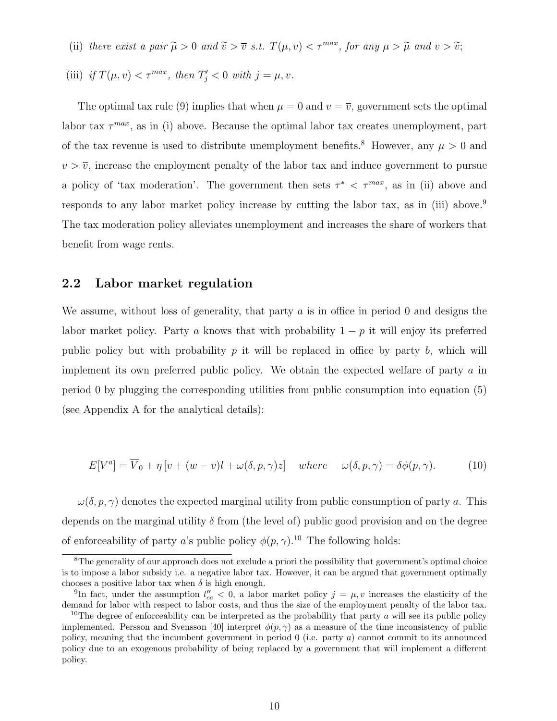- (ii) there exist a pair  $\widetilde{\mu} > 0$  and  $\widetilde{v} > \overline{v}$  s.t.  $T(\mu, v) < \tau^{max}$ , for any  $\mu > \widetilde{\mu}$  and  $v > \widetilde{v}$ ;
- (iii) if  $T(\mu, v) < \tau^{max}$ , then  $T'_j < 0$  with  $j = \mu, v$ .

The optimal tax rule (9) implies that when  $\mu = 0$  and  $v = \overline{v}$ , government sets the optimal labor tax  $\tau^{max}$ , as in (i) above. Because the optimal labor tax creates unemployment, part of the tax revenue is used to distribute unemployment benefits.<sup>8</sup> However, any  $\mu > 0$  and  $v > \overline{v}$ , increase the employment penalty of the labor tax and induce government to pursue a policy of 'tax moderation'. The government then sets  $\tau^* < \tau^{max}$ , as in (ii) above and responds to any labor market policy increase by cutting the labor tax, as in (iii) above.<sup>9</sup> The tax moderation policy alleviates unemployment and increases the share of workers that benefit from wage rents.

#### 2.2 Labor market regulation

We assume, without loss of generality, that party  $a$  is in office in period 0 and designs the labor market policy. Party a knows that with probability  $1 - p$  it will enjoy its preferred public policy but with probability  $p$  it will be replaced in office by party  $b$ , which will implement its own preferred public policy. We obtain the expected welfare of party a in period 0 by plugging the corresponding utilities from public consumption into equation (5) (see Appendix A for the analytical details):

$$
E[V^{a}] = \overline{V}_{0} + \eta \left[ v + (w - v)l + \omega(\delta, p, \gamma)z \right] \quad where \quad \omega(\delta, p, \gamma) = \delta\phi(p, \gamma). \tag{10}
$$

 $\omega(\delta, p, \gamma)$  denotes the expected marginal utility from public consumption of party a. This depends on the marginal utility  $\delta$  from (the level of) public good provision and on the degree of enforceability of party a's public policy  $\phi(p, \gamma)$ .<sup>10</sup> The following holds:

<sup>&</sup>lt;sup>8</sup>The generality of our approach does not exclude a priori the possibility that government's optimal choice is to impose a labor subsidy i.e. a negative labor tax. However, it can be argued that government optimally chooses a positive labor tax when  $\delta$  is high enough.

<sup>&</sup>lt;sup>9</sup>In fact, under the assumption  $l''_{cc} < 0$ , a labor market policy  $j = \mu, v$  increases the elasticity of the demand for labor with respect to labor costs, and thus the size of the employment penalty of the labor tax.

<sup>&</sup>lt;sup>10</sup>The degree of enforceability can be interpreted as the probability that party  $a$  will see its public policy implemented. Persson and Svensson [40] interpret  $\phi(p, \gamma)$  as a measure of the time inconsistency of public policy, meaning that the incumbent government in period 0 (i.e. party a) cannot commit to its announced policy due to an exogenous probability of being replaced by a government that will implement a different policy.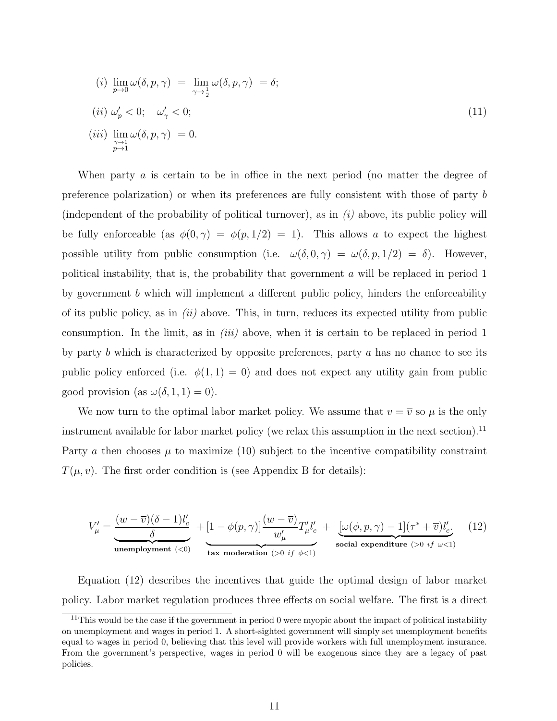$$
(i) \lim_{p \to 0} \omega(\delta, p, \gamma) = \lim_{\gamma \to \frac{1}{2}} \omega(\delta, p, \gamma) = \delta;
$$
  
\n
$$
(ii) \omega_p' < 0; \quad \omega_\gamma' < 0;
$$
  
\n
$$
(iii) \lim_{\substack{\gamma \to 1 \\ p \to 1}} \omega(\delta, p, \gamma) = 0.
$$
\n
$$
(11)
$$

When party a is certain to be in office in the next period (no matter the degree of preference polarization) or when its preferences are fully consistent with those of party b (independent of the probability of political turnover), as in  $(i)$  above, its public policy will be fully enforceable (as  $\phi(0, \gamma) = \phi(p, 1/2) = 1$ ). This allows a to expect the highest possible utility from public consumption (i.e.  $\omega(\delta, 0, \gamma) = \omega(\delta, p, 1/2) = \delta$ ). However, political instability, that is, the probability that government  $\alpha$  will be replaced in period 1 by government  $b$  which will implement a different public policy, hinders the enforceability of its public policy, as in  $(ii)$  above. This, in turn, reduces its expected utility from public consumption. In the limit, as in *(iii)* above, when it is certain to be replaced in period 1 by party b which is characterized by opposite preferences, party  $a$  has no chance to see its public policy enforced (i.e.  $\phi(1,1) = 0$ ) and does not expect any utility gain from public good provision (as  $\omega(\delta, 1, 1) = 0$ ).

We now turn to the optimal labor market policy. We assume that  $v = \overline{v}$  so  $\mu$  is the only instrument available for labor market policy (we relax this assumption in the next section).<sup>11</sup> Party a then chooses  $\mu$  to maximize (10) subject to the incentive compatibility constraint  $T(\mu, v)$ . The first order condition is (see Appendix B for details):

$$
V'_{\mu} = \underbrace{\frac{(w - \overline{v})(\delta - 1)l'_{c}}{\delta}}_{\text{unembyment } (<0)} + \underbrace{[1 - \phi(p, \gamma)] \frac{(w - \overline{v})}{w'_{\mu}} T'_{\mu} l'_{c}}_{\text{tax modernation } (>0 \text{ if } \phi < 1)} + \underbrace{[\omega(\phi, p, \gamma) - 1](\tau^{*} + \overline{v})l'_{c}}_{\text{social expenditure } (>0 \text{ if } \omega < 1)}
$$
(12)

Equation (12) describes the incentives that guide the optimal design of labor market policy. Labor market regulation produces three effects on social welfare. The first is a direct

 $11$ This would be the case if the government in period 0 were myopic about the impact of political instability on unemployment and wages in period 1. A short-sighted government will simply set unemployment benefits equal to wages in period 0, believing that this level will provide workers with full unemployment insurance. From the government's perspective, wages in period 0 will be exogenous since they are a legacy of past policies.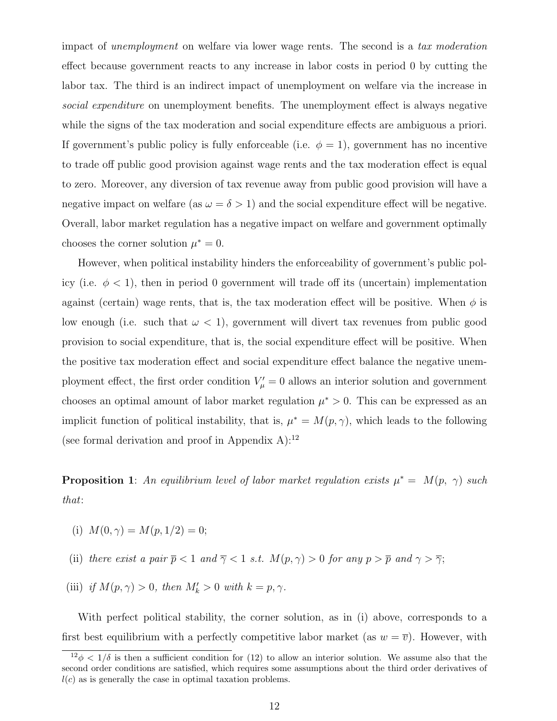impact of unemployment on welfare via lower wage rents. The second is a tax moderation effect because government reacts to any increase in labor costs in period 0 by cutting the labor tax. The third is an indirect impact of unemployment on welfare via the increase in social expenditure on unemployment benefits. The unemployment effect is always negative while the signs of the tax moderation and social expenditure effects are ambiguous a priori. If government's public policy is fully enforceable (i.e.  $\phi = 1$ ), government has no incentive to trade off public good provision against wage rents and the tax moderation effect is equal to zero. Moreover, any diversion of tax revenue away from public good provision will have a negative impact on welfare (as  $\omega = \delta > 1$ ) and the social expenditure effect will be negative. Overall, labor market regulation has a negative impact on welfare and government optimally chooses the corner solution  $\mu^* = 0$ .

However, when political instability hinders the enforceability of government's public policy (i.e.  $\phi < 1$ ), then in period 0 government will trade off its (uncertain) implementation against (certain) wage rents, that is, the tax moderation effect will be positive. When  $\phi$  is low enough (i.e. such that  $\omega < 1$ ), government will divert tax revenues from public good provision to social expenditure, that is, the social expenditure effect will be positive. When the positive tax moderation effect and social expenditure effect balance the negative unemployment effect, the first order condition  $V'_\mu = 0$  allows an interior solution and government chooses an optimal amount of labor market regulation  $\mu^* > 0$ . This can be expressed as an implicit function of political instability, that is,  $\mu^* = M(p, \gamma)$ , which leads to the following (see formal derivation and proof in Appendix A): $^{12}$ 

**Proposition 1**: An equilibrium level of labor market regulation exists  $\mu^* = M(p, \gamma)$  such that:

- (i)  $M(0, \gamma) = M(p, 1/2) = 0;$
- (ii) there exist a pair  $\bar{p} < 1$  and  $\bar{\gamma} < 1$  s.t.  $M(p, \gamma) > 0$  for any  $p > \bar{p}$  and  $\gamma > \bar{\gamma}$ ;
- (iii) if  $M(p, \gamma) > 0$ , then  $M'_k > 0$  with  $k = p, \gamma$ .

With perfect political stability, the corner solution, as in (i) above, corresponds to a first best equilibrium with a perfectly competitive labor market (as  $w = \overline{v}$ ). However, with

 $\frac{12\phi}{12\phi} < 1/\delta$  is then a sufficient condition for (12) to allow an interior solution. We assume also that the second order conditions are satisfied, which requires some assumptions about the third order derivatives of  $l(c)$  as is generally the case in optimal taxation problems.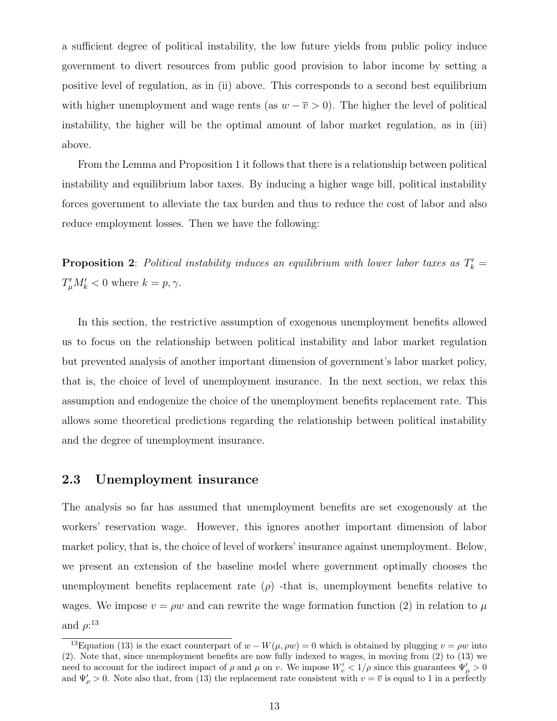a sufficient degree of political instability, the low future yields from public policy induce government to divert resources from public good provision to labor income by setting a positive level of regulation, as in (ii) above. This corresponds to a second best equilibrium with higher unemployment and wage rents (as  $w - \overline{v} > 0$ ). The higher the level of political instability, the higher will be the optimal amount of labor market regulation, as in (iii) above.

From the Lemma and Proposition 1 it follows that there is a relationship between political instability and equilibrium labor taxes. By inducing a higher wage bill, political instability forces government to alleviate the tax burden and thus to reduce the cost of labor and also reduce employment losses. Then we have the following:

**Proposition 2**: Political instability induces an equilibrium with lower labor taxes as  $T'_{k}$  =  $T_{\mu}'M_{k}' < 0$  where  $k = p, \gamma$ .

In this section, the restrictive assumption of exogenous unemployment benefits allowed us to focus on the relationship between political instability and labor market regulation but prevented analysis of another important dimension of government's labor market policy, that is, the choice of level of unemployment insurance. In the next section, we relax this assumption and endogenize the choice of the unemployment benefits replacement rate. This allows some theoretical predictions regarding the relationship between political instability and the degree of unemployment insurance.

#### 2.3 Unemployment insurance

The analysis so far has assumed that unemployment benefits are set exogenously at the workers' reservation wage. However, this ignores another important dimension of labor market policy, that is, the choice of level of workers' insurance against unemployment. Below, we present an extension of the baseline model where government optimally chooses the unemployment benefits replacement rate  $(\rho)$  -that is, unemployment benefits relative to wages. We impose  $v = \rho w$  and can rewrite the wage formation function (2) in relation to  $\mu$ and  $\rho$ :<sup>13</sup>

<sup>&</sup>lt;sup>13</sup>Equation (13) is the exact counterpart of  $w - W(\mu, \rho w) = 0$  which is obtained by plugging  $v = \rho w$  into (2). Note that, since unemployment benefits are now fully indexed to wages, in moving from (2) to (13) we need to account for the indirect impact of  $\rho$  and  $\mu$  on v. We impose  $W'_v < 1/\rho$  since this guarantees  $\Psi'_\mu > 0$ and  $\Psi_{\rho}'>0$ . Note also that, from (13) the replacement rate consistent with  $v=\overline{v}$  is equal to 1 in a perfectly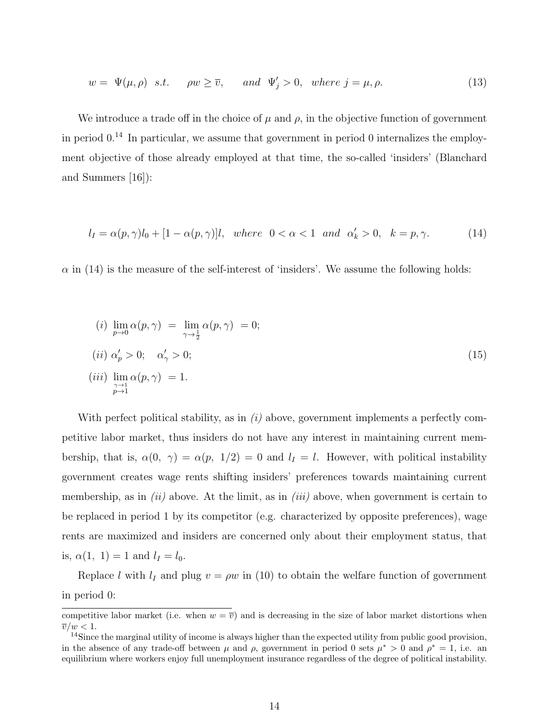$$
w = \Psi(\mu, \rho) \quad s.t. \qquad \rho w \ge \overline{v}, \qquad and \quad \Psi_j' > 0, \quad where \ j = \mu, \rho. \tag{13}
$$

We introduce a trade off in the choice of  $\mu$  and  $\rho$ , in the objective function of government in period  $0<sup>14</sup>$  In particular, we assume that government in period 0 internalizes the employment objective of those already employed at that time, the so-called 'insiders' (Blanchard and Summers [16]):

$$
l_I = \alpha(p, \gamma)l_0 + [1 - \alpha(p, \gamma)]l, \text{ where } 0 < \alpha < 1 \text{ and } \alpha'_k > 0, \quad k = p, \gamma. \tag{14}
$$

 $\alpha$  in (14) is the measure of the self-interest of 'insiders'. We assume the following holds:

$$
(i) \lim_{p \to 0} \alpha(p, \gamma) = \lim_{\gamma \to \frac{1}{2}} \alpha(p, \gamma) = 0;
$$
  
\n
$$
(ii) \alpha'_p > 0; \quad \alpha'_\gamma > 0;
$$
  
\n
$$
(iii) \lim_{\substack{\gamma \to 1 \\ p \to 1}} \alpha(p, \gamma) = 1.
$$
\n
$$
(15)
$$

With perfect political stability, as in  $(i)$  above, government implements a perfectly competitive labor market, thus insiders do not have any interest in maintaining current membership, that is,  $\alpha(0, \gamma) = \alpha(p, 1/2) = 0$  and  $l_I = l$ . However, with political instability government creates wage rents shifting insiders' preferences towards maintaining current membership, as in  $(ii)$  above. At the limit, as in  $(iii)$  above, when government is certain to be replaced in period 1 by its competitor (e.g. characterized by opposite preferences), wage rents are maximized and insiders are concerned only about their employment status, that is,  $\alpha(1, 1) = 1$  and  $l_1 = l_0$ .

Replace l with  $l_I$  and plug  $v = \rho w$  in (10) to obtain the welfare function of government in period 0:

competitive labor market (i.e. when  $w = \overline{v}$ ) and is decreasing in the size of labor market distortions when  $\overline{v}/w < 1.$ 

<sup>&</sup>lt;sup>14</sup>Since the marginal utility of income is always higher than the expected utility from public good provision, in the absence of any trade-off between  $\mu$  and  $\rho$ , government in period 0 sets  $\mu^* > 0$  and  $\rho^* = 1$ , i.e. an equilibrium where workers enjoy full unemployment insurance regardless of the degree of political instability.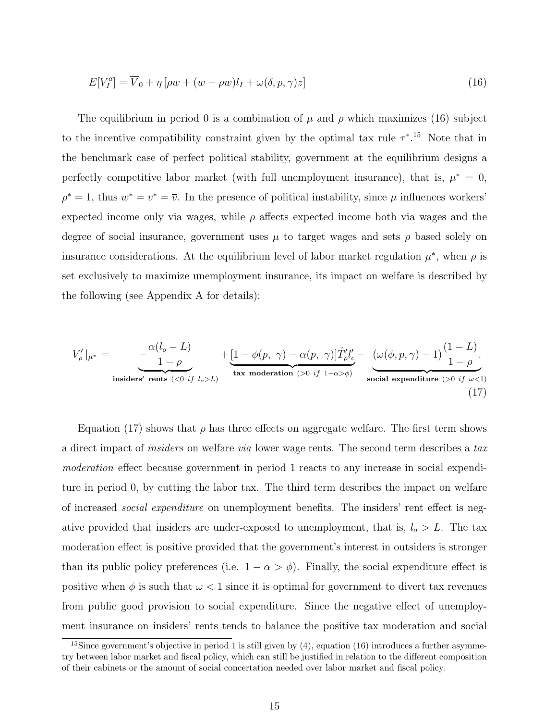$$
E[V_I^a] = \overline{V}_0 + \eta \left[ \rho w + (w - \rho w) l_I + \omega(\delta, p, \gamma) z \right]
$$
\n<sup>(16)</sup>

The equilibrium in period 0 is a combination of  $\mu$  and  $\rho$  which maximizes (16) subject to the incentive compatibility constraint given by the optimal tax rule  $\tau^{*}$ <sup>15</sup>. Note that in the benchmark case of perfect political stability, government at the equilibrium designs a perfectly competitive labor market (with full unemployment insurance), that is,  $\mu^* = 0$ ,  $\rho^* = 1$ , thus  $w^* = v^* = \overline{v}$ . In the presence of political instability, since  $\mu$  influences workers' expected income only via wages, while  $\rho$  affects expected income both via wages and the degree of social insurance, government uses  $\mu$  to target wages and sets  $\rho$  based solely on insurance considerations. At the equilibrium level of labor market regulation  $\mu^*$ , when  $\rho$  is set exclusively to maximize unemployment insurance, its impact on welfare is described by the following (see Appendix A for details):

$$
V'_{\rho}|_{\mu^*} = \underbrace{-\frac{\alpha(l_o - L)}{1 - \rho}}_{\text{insiders' rents } (<0 \text{ if } l_o > L)} + \underbrace{[1 - \phi(p, \gamma) - \alpha(p, \gamma)]\hat{T}'_{\rho}l'_{c}}_{\text{tax modernation } (>0 \text{ if } 1 - \alpha > \phi)} - \underbrace{(\omega(\phi, p, \gamma) - 1)\frac{(1 - L)}{1 - \rho}}_{\text{social expenditure } (>0 \text{ if } \omega < 1)}
$$
\n(17)

Equation (17) shows that  $\rho$  has three effects on aggregate welfare. The first term shows a direct impact of *insiders* on welfare *via* lower wage rents. The second term describes a tax moderation effect because government in period 1 reacts to any increase in social expenditure in period 0, by cutting the labor tax. The third term describes the impact on welfare of increased social expenditure on unemployment benefits. The insiders' rent effect is negative provided that insiders are under-exposed to unemployment, that is,  $l_o > L$ . The tax moderation effect is positive provided that the government's interest in outsiders is stronger than its public policy preferences (i.e.  $1 - \alpha > \phi$ ). Finally, the social expenditure effect is positive when  $\phi$  is such that  $\omega < 1$  since it is optimal for government to divert tax revenues from public good provision to social expenditure. Since the negative effect of unemployment insurance on insiders' rents tends to balance the positive tax moderation and social

<sup>&</sup>lt;sup>15</sup>Since government's objective in period 1 is still given by  $(4)$ , equation  $(16)$  introduces a further asymmetry between labor market and fiscal policy, which can still be justified in relation to the different composition of their cabinets or the amount of social concertation needed over labor market and fiscal policy.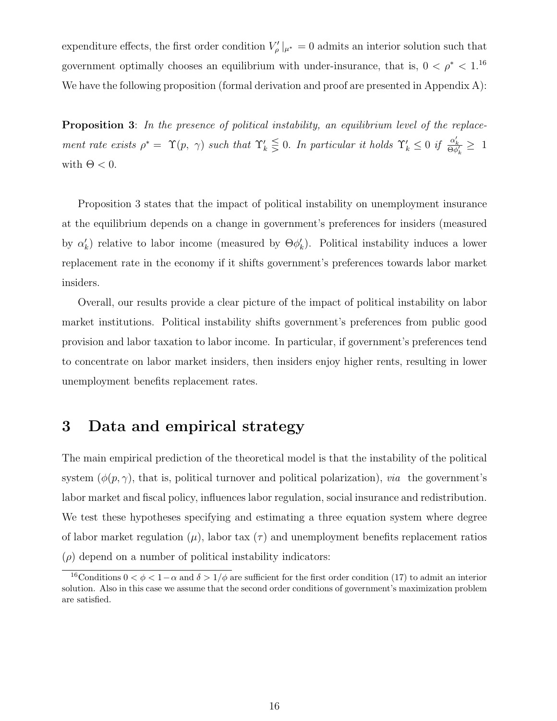expenditure effects, the first order condition  $V'_{\rho}|_{\mu^*} = 0$  admits an interior solution such that government optimally chooses an equilibrium with under-insurance, that is,  $0 < \rho^* < 1$ .<sup>16</sup> We have the following proposition (formal derivation and proof are presented in Appendix A):

Proposition 3: In the presence of political instability, an equilibrium level of the replacement rate exists  $\rho^* = \Upsilon(p, \gamma)$  such that  $\Upsilon'_k \leq 0$ . In particular it holds  $\Upsilon'_k \leq 0$  if  $\frac{\alpha'_k}{\Theta \phi'_k} \geq 1$ with  $\Theta < 0$ .

Proposition 3 states that the impact of political instability on unemployment insurance at the equilibrium depends on a change in government's preferences for insiders (measured by  $\alpha'_k$ ) relative to labor income (measured by  $\Theta \phi'_k$ ). Political instability induces a lower replacement rate in the economy if it shifts government's preferences towards labor market insiders.

Overall, our results provide a clear picture of the impact of political instability on labor market institutions. Political instability shifts government's preferences from public good provision and labor taxation to labor income. In particular, if government's preferences tend to concentrate on labor market insiders, then insiders enjoy higher rents, resulting in lower unemployment benefits replacement rates.

## 3 Data and empirical strategy

The main empirical prediction of the theoretical model is that the instability of the political system  $(\phi(p, \gamma)$ , that is, political turnover and political polarization), *via* the government's labor market and fiscal policy, influences labor regulation, social insurance and redistribution. We test these hypotheses specifying and estimating a three equation system where degree of labor market regulation  $(\mu)$ , labor tax  $(\tau)$  and unemployment benefits replacement ratios  $(\rho)$  depend on a number of political instability indicators:

<sup>&</sup>lt;sup>16</sup>Conditions  $0 < \phi < 1-\alpha$  and  $\delta > 1/\phi$  are sufficient for the first order condition (17) to admit an interior solution. Also in this case we assume that the second order conditions of government's maximization problem are satisfied.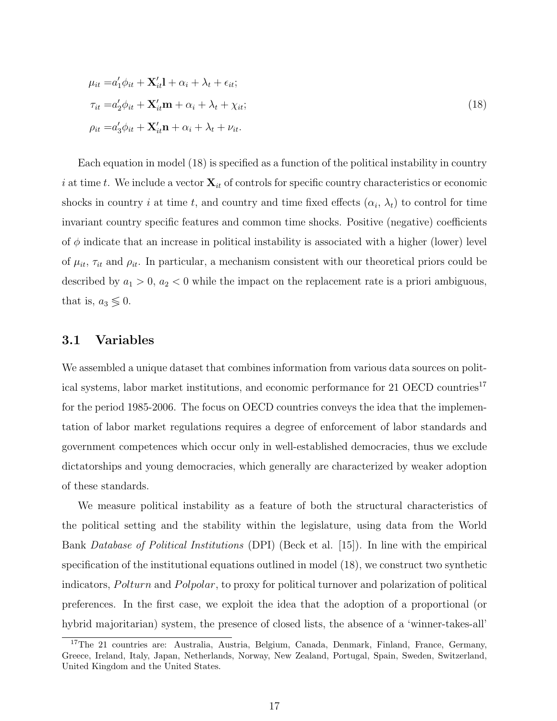$$
\mu_{it} = a'_1 \phi_{it} + \mathbf{X}'_{it} \mathbf{l} + \alpha_i + \lambda_t + \epsilon_{it};
$$
  
\n
$$
\tau_{it} = a'_2 \phi_{it} + \mathbf{X}'_{it} \mathbf{m} + \alpha_i + \lambda_t + \chi_{it};
$$
  
\n
$$
\rho_{it} = a'_3 \phi_{it} + \mathbf{X}'_{it} \mathbf{n} + \alpha_i + \lambda_t + \nu_{it}.
$$
\n(18)

Each equation in model (18) is specified as a function of the political instability in country i at time t. We include a vector  $\mathbf{X}_{it}$  of controls for specific country characteristics or economic shocks in country i at time t, and country and time fixed effects  $(\alpha_i, \lambda_t)$  to control for time invariant country specific features and common time shocks. Positive (negative) coefficients of  $\phi$  indicate that an increase in political instability is associated with a higher (lower) level of  $\mu_{it}$ ,  $\tau_{it}$  and  $\rho_{it}$ . In particular, a mechanism consistent with our theoretical priors could be described by  $a_1 > 0$ ,  $a_2 < 0$  while the impact on the replacement rate is a priori ambiguous, that is,  $a_3 \lessgtr 0$ .

#### 3.1 Variables

We assembled a unique dataset that combines information from various data sources on political systems, labor market institutions, and economic performance for 21 OECD countries<sup>17</sup> for the period 1985-2006. The focus on OECD countries conveys the idea that the implementation of labor market regulations requires a degree of enforcement of labor standards and government competences which occur only in well-established democracies, thus we exclude dictatorships and young democracies, which generally are characterized by weaker adoption of these standards.

We measure political instability as a feature of both the structural characteristics of the political setting and the stability within the legislature, using data from the World Bank Database of Political Institutions (DPI) (Beck et al. [15]). In line with the empirical specification of the institutional equations outlined in model (18), we construct two synthetic indicators, Polturn and Polpolar, to proxy for political turnover and polarization of political preferences. In the first case, we exploit the idea that the adoption of a proportional (or hybrid majoritarian) system, the presence of closed lists, the absence of a 'winner-takes-all'

<sup>&</sup>lt;sup>17</sup>The 21 countries are: Australia, Austria, Belgium, Canada, Denmark, Finland, France, Germany, Greece, Ireland, Italy, Japan, Netherlands, Norway, New Zealand, Portugal, Spain, Sweden, Switzerland, United Kingdom and the United States.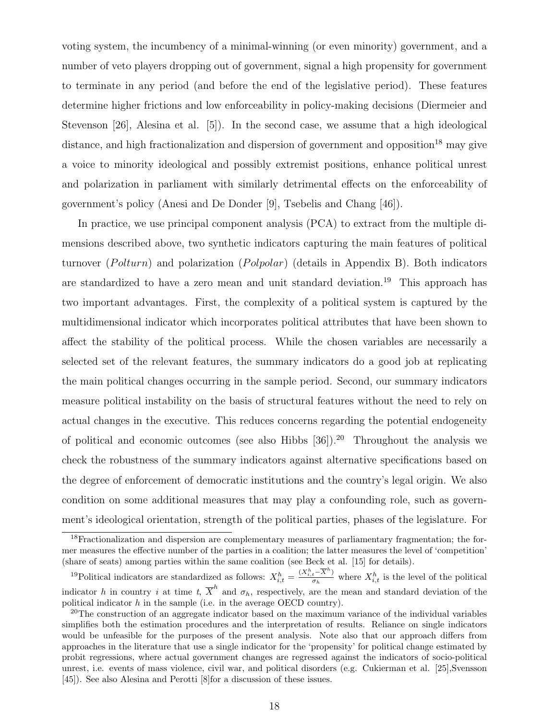voting system, the incumbency of a minimal-winning (or even minority) government, and a number of veto players dropping out of government, signal a high propensity for government to terminate in any period (and before the end of the legislative period). These features determine higher frictions and low enforceability in policy-making decisions (Diermeier and Stevenson [26], Alesina et al. [5]). In the second case, we assume that a high ideological distance, and high fractionalization and dispersion of government and opposition<sup>18</sup> may give a voice to minority ideological and possibly extremist positions, enhance political unrest and polarization in parliament with similarly detrimental effects on the enforceability of government's policy (Anesi and De Donder [9], Tsebelis and Chang [46]).

In practice, we use principal component analysis (PCA) to extract from the multiple dimensions described above, two synthetic indicators capturing the main features of political turnover (*Polturn*) and polarization (*Polpolar*) (details in Appendix B). Both indicators are standardized to have a zero mean and unit standard deviation.<sup>19</sup> This approach has two important advantages. First, the complexity of a political system is captured by the multidimensional indicator which incorporates political attributes that have been shown to affect the stability of the political process. While the chosen variables are necessarily a selected set of the relevant features, the summary indicators do a good job at replicating the main political changes occurring in the sample period. Second, our summary indicators measure political instability on the basis of structural features without the need to rely on actual changes in the executive. This reduces concerns regarding the potential endogeneity of political and economic outcomes (see also Hibbs  $[36]$ ).<sup>20</sup> Throughout the analysis we check the robustness of the summary indicators against alternative specifications based on the degree of enforcement of democratic institutions and the country's legal origin. We also condition on some additional measures that may play a confounding role, such as government's ideological orientation, strength of the political parties, phases of the legislature. For

<sup>&</sup>lt;sup>18</sup>Fractionalization and dispersion are complementary measures of parliamentary fragmentation; the former measures the effective number of the parties in a coalition; the latter measures the level of 'competition' (share of seats) among parties within the same coalition (see Beck et al. [15] for details).

<sup>&</sup>lt;sup>19</sup>Political indicators are standardized as follows:  $X_{i,t}^h = \frac{(X_{i,t}^h - \overline{X}^h)}{\sigma_h}$  $\frac{t^{-A}}{\sigma_h}$  where  $X_{i,t}^h$  is the level of the political indicator h in country i at time t,  $\overline{X}^h$  and  $\sigma_h$ , respectively, are the mean and standard deviation of the political indicator  $h$  in the sample (i.e. in the average OECD country).

<sup>&</sup>lt;sup>20</sup>The construction of an aggregate indicator based on the maximum variance of the individual variables simplifies both the estimation procedures and the interpretation of results. Reliance on single indicators would be unfeasible for the purposes of the present analysis. Note also that our approach differs from approaches in the literature that use a single indicator for the 'propensity' for political change estimated by probit regressions, where actual government changes are regressed against the indicators of socio-political unrest, i.e. events of mass violence, civil war, and political disorders (e.g. Cukierman et al. [25],Svensson [45]). See also Alesina and Perotti [8]for a discussion of these issues.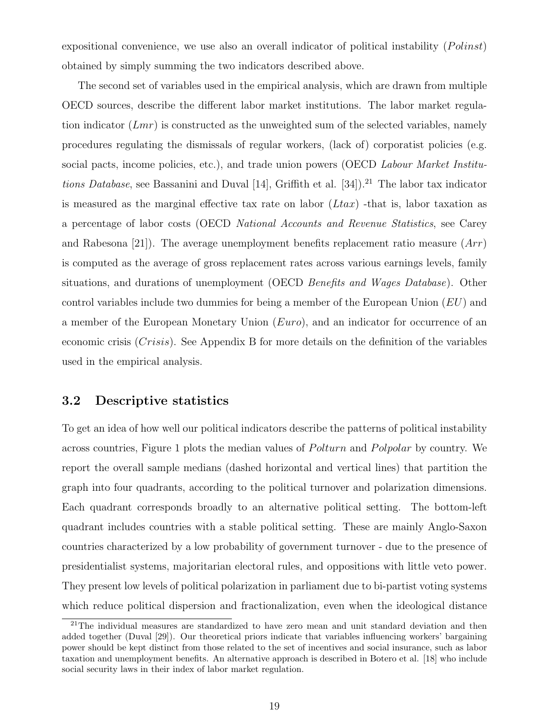expositional convenience, we use also an overall indicator of political instability  $(Polinst)$ obtained by simply summing the two indicators described above.

The second set of variables used in the empirical analysis, which are drawn from multiple OECD sources, describe the different labor market institutions. The labor market regulation indicator  $(Lmr)$  is constructed as the unweighted sum of the selected variables, namely procedures regulating the dismissals of regular workers, (lack of) corporatist policies (e.g. social pacts, income policies, etc.), and trade union powers (OECD Labour Market Institutions Database, see Bassanini and Duval [14], Griffith et al. [34]).<sup>21</sup> The labor tax indicator is measured as the marginal effective tax rate on labor  $(Ltax)$  -that is, labor taxation as a percentage of labor costs (OECD National Accounts and Revenue Statistics, see Carey and Rabesona [21]). The average unemployment benefits replacement ratio measure  $(Arr)$ is computed as the average of gross replacement rates across various earnings levels, family situations, and durations of unemployment (OECD Benefits and Wages Database). Other control variables include two dummies for being a member of the European Union  $(EU)$  and a member of the European Monetary Union (Euro), and an indicator for occurrence of an economic crisis  $(Crisis)$ . See Appendix B for more details on the definition of the variables used in the empirical analysis.

#### 3.2 Descriptive statistics

To get an idea of how well our political indicators describe the patterns of political instability across countries, Figure 1 plots the median values of *Polturn* and *Polpolar* by country. We report the overall sample medians (dashed horizontal and vertical lines) that partition the graph into four quadrants, according to the political turnover and polarization dimensions. Each quadrant corresponds broadly to an alternative political setting. The bottom-left quadrant includes countries with a stable political setting. These are mainly Anglo-Saxon countries characterized by a low probability of government turnover - due to the presence of presidentialist systems, majoritarian electoral rules, and oppositions with little veto power. They present low levels of political polarization in parliament due to bi-partist voting systems which reduce political dispersion and fractionalization, even when the ideological distance

 $21$ The individual measures are standardized to have zero mean and unit standard deviation and then added together (Duval [29]). Our theoretical priors indicate that variables influencing workers' bargaining power should be kept distinct from those related to the set of incentives and social insurance, such as labor taxation and unemployment benefits. An alternative approach is described in Botero et al. [18] who include social security laws in their index of labor market regulation.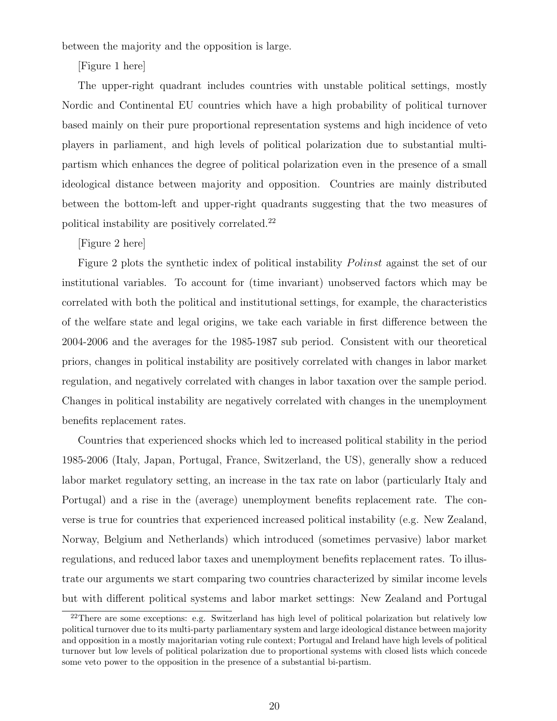between the majority and the opposition is large.

[Figure 1 here]

The upper-right quadrant includes countries with unstable political settings, mostly Nordic and Continental EU countries which have a high probability of political turnover based mainly on their pure proportional representation systems and high incidence of veto players in parliament, and high levels of political polarization due to substantial multipartism which enhances the degree of political polarization even in the presence of a small ideological distance between majority and opposition. Countries are mainly distributed between the bottom-left and upper-right quadrants suggesting that the two measures of political instability are positively correlated.<sup>22</sup>

[Figure 2 here]

Figure 2 plots the synthetic index of political instability *Polinst* against the set of our institutional variables. To account for (time invariant) unobserved factors which may be correlated with both the political and institutional settings, for example, the characteristics of the welfare state and legal origins, we take each variable in first difference between the 2004-2006 and the averages for the 1985-1987 sub period. Consistent with our theoretical priors, changes in political instability are positively correlated with changes in labor market regulation, and negatively correlated with changes in labor taxation over the sample period. Changes in political instability are negatively correlated with changes in the unemployment benefits replacement rates.

Countries that experienced shocks which led to increased political stability in the period 1985-2006 (Italy, Japan, Portugal, France, Switzerland, the US), generally show a reduced labor market regulatory setting, an increase in the tax rate on labor (particularly Italy and Portugal) and a rise in the (average) unemployment benefits replacement rate. The converse is true for countries that experienced increased political instability (e.g. New Zealand, Norway, Belgium and Netherlands) which introduced (sometimes pervasive) labor market regulations, and reduced labor taxes and unemployment benefits replacement rates. To illustrate our arguments we start comparing two countries characterized by similar income levels but with different political systems and labor market settings: New Zealand and Portugal

<sup>&</sup>lt;sup>22</sup>There are some exceptions: e.g. Switzerland has high level of political polarization but relatively low political turnover due to its multi-party parliamentary system and large ideological distance between majority and opposition in a mostly majoritarian voting rule context; Portugal and Ireland have high levels of political turnover but low levels of political polarization due to proportional systems with closed lists which concede some veto power to the opposition in the presence of a substantial bi-partism.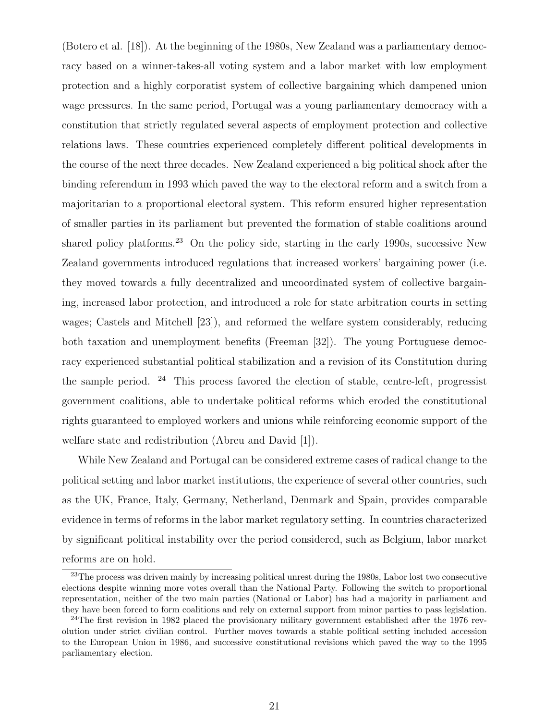(Botero et al. [18]). At the beginning of the 1980s, New Zealand was a parliamentary democracy based on a winner-takes-all voting system and a labor market with low employment protection and a highly corporatist system of collective bargaining which dampened union wage pressures. In the same period, Portugal was a young parliamentary democracy with a constitution that strictly regulated several aspects of employment protection and collective relations laws. These countries experienced completely different political developments in the course of the next three decades. New Zealand experienced a big political shock after the binding referendum in 1993 which paved the way to the electoral reform and a switch from a majoritarian to a proportional electoral system. This reform ensured higher representation of smaller parties in its parliament but prevented the formation of stable coalitions around shared policy platforms.<sup>23</sup> On the policy side, starting in the early 1990s, successive New Zealand governments introduced regulations that increased workers' bargaining power (i.e. they moved towards a fully decentralized and uncoordinated system of collective bargaining, increased labor protection, and introduced a role for state arbitration courts in setting wages; Castels and Mitchell [23]), and reformed the welfare system considerably, reducing both taxation and unemployment benefits (Freeman [32]). The young Portuguese democracy experienced substantial political stabilization and a revision of its Constitution during the sample period.  $24$  This process favored the election of stable, centre-left, progressist government coalitions, able to undertake political reforms which eroded the constitutional rights guaranteed to employed workers and unions while reinforcing economic support of the welfare state and redistribution (Abreu and David [1]).

While New Zealand and Portugal can be considered extreme cases of radical change to the political setting and labor market institutions, the experience of several other countries, such as the UK, France, Italy, Germany, Netherland, Denmark and Spain, provides comparable evidence in terms of reforms in the labor market regulatory setting. In countries characterized by significant political instability over the period considered, such as Belgium, labor market reforms are on hold.

<sup>&</sup>lt;sup>23</sup>The process was driven mainly by increasing political unrest during the 1980s, Labor lost two consecutive elections despite winning more votes overall than the National Party. Following the switch to proportional representation, neither of the two main parties (National or Labor) has had a majority in parliament and they have been forced to form coalitions and rely on external support from minor parties to pass legislation.

 $24$ The first revision in 1982 placed the provisionary military government established after the 1976 revolution under strict civilian control. Further moves towards a stable political setting included accession to the European Union in 1986, and successive constitutional revisions which paved the way to the 1995 parliamentary election.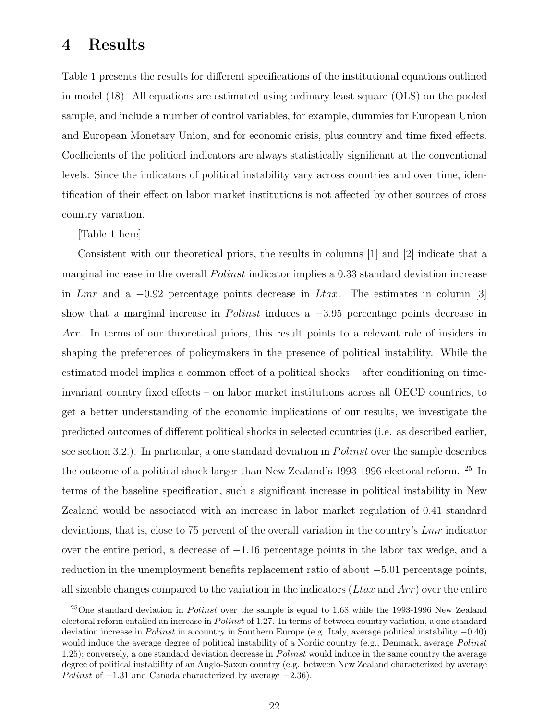## 4 Results

Table 1 presents the results for different specifications of the institutional equations outlined in model (18). All equations are estimated using ordinary least square (OLS) on the pooled sample, and include a number of control variables, for example, dummies for European Union and European Monetary Union, and for economic crisis, plus country and time fixed effects. Coefficients of the political indicators are always statistically significant at the conventional levels. Since the indicators of political instability vary across countries and over time, identification of their effect on labor market institutions is not affected by other sources of cross country variation.

[Table 1 here]

Consistent with our theoretical priors, the results in columns [1] and [2] indicate that a marginal increase in the overall *Polinst* indicator implies a 0.33 standard deviation increase in Lmr and a  $-0.92$  percentage points decrease in Ltax. The estimates in column [3] show that a marginal increase in *Polinst* induces a  $-3.95$  percentage points decrease in Arr. In terms of our theoretical priors, this result points to a relevant role of insiders in shaping the preferences of policymakers in the presence of political instability. While the estimated model implies a common effect of a political shocks – after conditioning on timeinvariant country fixed effects – on labor market institutions across all OECD countries, to get a better understanding of the economic implications of our results, we investigate the predicted outcomes of different political shocks in selected countries (i.e. as described earlier, see section 3.2.). In particular, a one standard deviation in *Polinst* over the sample describes the outcome of a political shock larger than New Zealand's 1993-1996 electoral reform.  $^{\rm 25}$  In terms of the baseline specification, such a significant increase in political instability in New Zealand would be associated with an increase in labor market regulation of 0.41 standard deviations, that is, close to 75 percent of the overall variation in the country's Lmr indicator over the entire period, a decrease of −1.16 percentage points in the labor tax wedge, and a reduction in the unemployment benefits replacement ratio of about −5.01 percentage points, all sizeable changes compared to the variation in the indicators  $(Ltax$  and  $Arr)$  over the entire

 $^{25}$ One standard deviation in *Polinst* over the sample is equal to 1.68 while the 1993-1996 New Zealand electoral reform entailed an increase in *Polinst* of 1.27. In terms of between country variation, a one standard deviation increase in *Polinst* in a country in Southern Europe (e.g. Italy, average political instability  $-0.40$ ) would induce the average degree of political instability of a Nordic country (e.g., Denmark, average  $Polinst$ 1.25); conversely, a one standard deviation decrease in  $Polinst$  would induce in the same country the average degree of political instability of an Anglo-Saxon country (e.g. between New Zealand characterized by average Polinst of  $-1.31$  and Canada characterized by average  $-2.36$ ).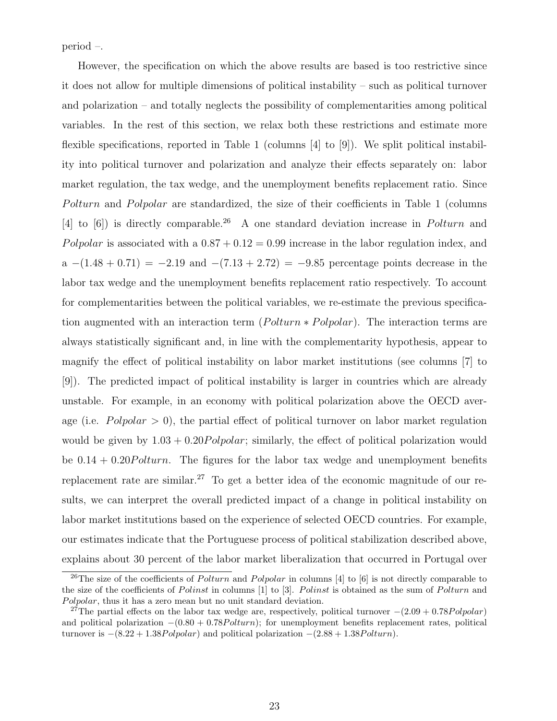period –.

However, the specification on which the above results are based is too restrictive since it does not allow for multiple dimensions of political instability – such as political turnover and polarization – and totally neglects the possibility of complementarities among political variables. In the rest of this section, we relax both these restrictions and estimate more flexible specifications, reported in Table 1 (columns [4] to [9]). We split political instability into political turnover and polarization and analyze their effects separately on: labor market regulation, the tax wedge, and the unemployment benefits replacement ratio. Since Polturn and Polpolar are standardized, the size of their coefficients in Table 1 (columns [4] to  $[6]$ ) is directly comparable.<sup>26</sup> A one standard deviation increase in *Polturn* and Polpolar is associated with a  $0.87 + 0.12 = 0.99$  increase in the labor regulation index, and a  $-(1.48 + 0.71) = -2.19$  and  $-(7.13 + 2.72) = -9.85$  percentage points decrease in the labor tax wedge and the unemployment benefits replacement ratio respectively. To account for complementarities between the political variables, we re-estimate the previous specification augmented with an interaction term ( $Polturn * Pol polar$ ). The interaction terms are always statistically significant and, in line with the complementarity hypothesis, appear to magnify the effect of political instability on labor market institutions (see columns [7] to [9]). The predicted impact of political instability is larger in countries which are already unstable. For example, in an economy with political polarization above the OECD average (i.e.  $Pol polar > 0$ ), the partial effect of political turnover on labor market regulation would be given by  $1.03 + 0.20 \text{Polpolar}$ ; similarly, the effect of political polarization would be  $0.14 + 0.20$ Polturn. The figures for the labor tax wedge and unemployment benefits replacement rate are similar.<sup>27</sup> To get a better idea of the economic magnitude of our results, we can interpret the overall predicted impact of a change in political instability on labor market institutions based on the experience of selected OECD countries. For example, our estimates indicate that the Portuguese process of political stabilization described above, explains about 30 percent of the labor market liberalization that occurred in Portugal over

<sup>&</sup>lt;sup>26</sup>The size of the coefficients of *Polturn* and *Polpolar* in columns [4] to [6] is not directly comparable to the size of the coefficients of Polinst in columns  $[1]$  to  $[3]$ . Polinst is obtained as the sum of Polturn and Polpolar, thus it has a zero mean but no unit standard deviation.

<sup>&</sup>lt;sup>27</sup>The partial effects on the labor tax wedge are, respectively, political turnover  $-(2.09 + 0.78Polpolar)$ and political polarization  $-(0.80 + 0.78$  *Polturn*); for unemployment benefits replacement rates, political turnover is  $-(8.22 + 1.38Pol polar)$  and political polarization  $-(2.88 + 1.38Polturn)$ .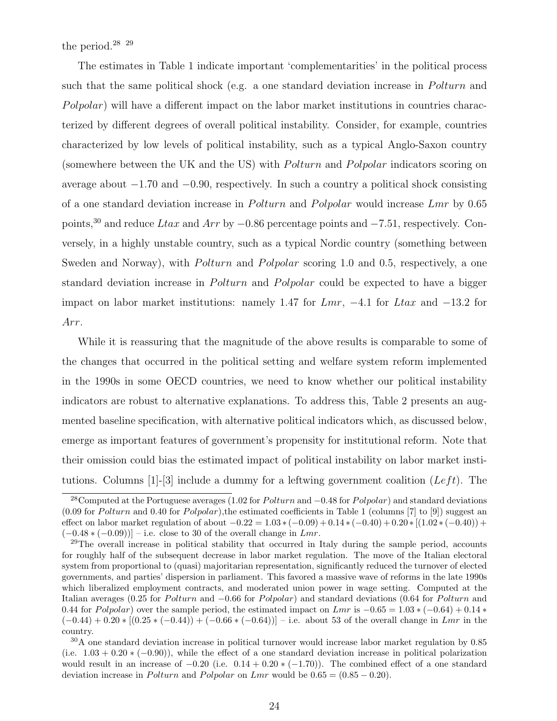the period.28 29

The estimates in Table 1 indicate important 'complementarities' in the political process such that the same political shock (e.g. a one standard deviation increase in  $Polturn$  and  $Polpolar$ ) will have a different impact on the labor market institutions in countries characterized by different degrees of overall political instability. Consider, for example, countries characterized by low levels of political instability, such as a typical Anglo-Saxon country (somewhere between the UK and the US) with *Polturn* and *Polpolar* indicators scoring on average about −1.70 and −0.90, respectively. In such a country a political shock consisting of a one standard deviation increase in *Polturn* and *Polpolar* would increase Lmr by 0.65 points,<sup>30</sup> and reduce Ltax and Arr by  $-0.86$  percentage points and  $-7.51$ , respectively. Conversely, in a highly unstable country, such as a typical Nordic country (something between Sweden and Norway), with *Polturn* and *Polpolar* scoring 1.0 and 0.5, respectively, a one standard deviation increase in *Polturn* and *Polpolar* could be expected to have a bigger impact on labor market institutions: namely 1.47 for  $Lmr$ ,  $-4.1$  for  $Ltax$  and  $-13.2$  for Arr.

While it is reassuring that the magnitude of the above results is comparable to some of the changes that occurred in the political setting and welfare system reform implemented in the 1990s in some OECD countries, we need to know whether our political instability indicators are robust to alternative explanations. To address this, Table 2 presents an augmented baseline specification, with alternative political indicators which, as discussed below, emerge as important features of government's propensity for institutional reform. Note that their omission could bias the estimated impact of political instability on labor market institutions. Columns [1]-[3] include a dummy for a leftwing government coalition ( $Left$ ). The

<sup>&</sup>lt;sup>28</sup>Computed at the Portuguese averages (1.02 for *Polturn* and  $-0.48$  for *Polpolar*) and standard deviations  $(0.09$  for Polturn and 0.40 for Polpolar),the estimated coefficients in Table 1 (columns [7] to [9]) suggest an effect on labor market regulation of about  $-0.22 = 1.03 * (-0.09) + 0.14 * (-0.40) + 0.20 * [(1.02 * (-0.40)) +$  $(-0.48 * (-0.09))]$  – i.e. close to 30 of the overall change in Lmr.

 $^{29}$ The overall increase in political stability that occurred in Italy during the sample period, accounts for roughly half of the subsequent decrease in labor market regulation. The move of the Italian electoral system from proportional to (quasi) majoritarian representation, significantly reduced the turnover of elected governments, and parties' dispersion in parliament. This favored a massive wave of reforms in the late 1990s which liberalized employment contracts, and moderated union power in wage setting. Computed at the Italian averages (0.25 for *Polturn* and  $-0.66$  for *Polpolar*) and standard deviations (0.64 for *Polturn* and 0.44 for Polpolar) over the sample period, the estimated impact on Lmr is  $-0.65 = 1.03 * (-0.64) + 0.14 *$  $(-0.44) + 0.20 * [(0.25 * (-0.44)) + (-0.66 * (-0.64))] - i.e.$  about 53 of the overall change in Lmr in the country.

<sup>30</sup>A one standard deviation increase in political turnover would increase labor market regulation by 0.85 (i.e.  $1.03 + 0.20 * (-0.90)$ ), while the effect of a one standard deviation increase in political polarization would result in an increase of  $-0.20$  (i.e.  $0.14 + 0.20 * (-1.70)$ ). The combined effect of a one standard deviation increase in *Polturn* and *Polpolar* on Lmr would be  $0.65 = (0.85 - 0.20)$ .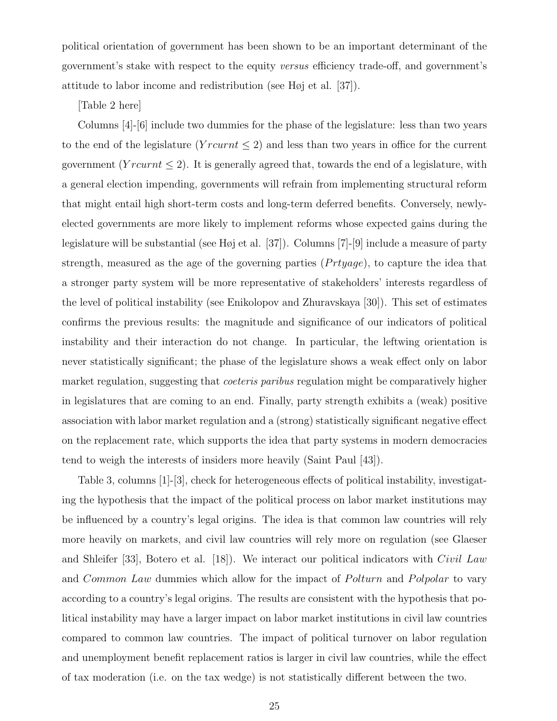political orientation of government has been shown to be an important determinant of the government's stake with respect to the equity versus efficiency trade-off, and government's attitude to labor income and redistribution (see Høj et al. [37]).

[Table 2 here]

Columns [4]-[6] include two dummies for the phase of the legislature: less than two years to the end of the legislature ( $Y^{\prime}$  rcurnt  $\leq$  2) and less than two years in office for the current government ( $Y^{\prime}$  rcurnt  $\leq$  2). It is generally agreed that, towards the end of a legislature, with a general election impending, governments will refrain from implementing structural reform that might entail high short-term costs and long-term deferred benefits. Conversely, newlyelected governments are more likely to implement reforms whose expected gains during the legislature will be substantial (see Høj et al. [37]). Columns [7]-[9] include a measure of party strength, measured as the age of the governing parties  $(Prtyage)$ , to capture the idea that a stronger party system will be more representative of stakeholders' interests regardless of the level of political instability (see Enikolopov and Zhuravskaya [30]). This set of estimates confirms the previous results: the magnitude and significance of our indicators of political instability and their interaction do not change. In particular, the leftwing orientation is never statistically significant; the phase of the legislature shows a weak effect only on labor market regulation, suggesting that *coeteris paribus* regulation might be comparatively higher in legislatures that are coming to an end. Finally, party strength exhibits a (weak) positive association with labor market regulation and a (strong) statistically significant negative effect on the replacement rate, which supports the idea that party systems in modern democracies tend to weigh the interests of insiders more heavily (Saint Paul [43]).

Table 3, columns [1]-[3], check for heterogeneous effects of political instability, investigating the hypothesis that the impact of the political process on labor market institutions may be influenced by a country's legal origins. The idea is that common law countries will rely more heavily on markets, and civil law countries will rely more on regulation (see Glaeser and Shleifer [33], Botero et al. [18]). We interact our political indicators with Civil Law and Common Law dummies which allow for the impact of Polturn and Polpolar to vary according to a country's legal origins. The results are consistent with the hypothesis that political instability may have a larger impact on labor market institutions in civil law countries compared to common law countries. The impact of political turnover on labor regulation and unemployment benefit replacement ratios is larger in civil law countries, while the effect of tax moderation (i.e. on the tax wedge) is not statistically different between the two.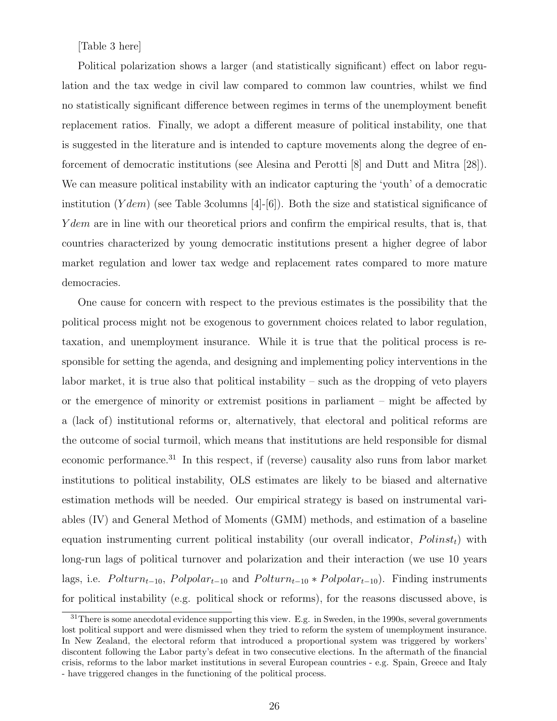#### [Table 3 here]

Political polarization shows a larger (and statistically significant) effect on labor regulation and the tax wedge in civil law compared to common law countries, whilst we find no statistically significant difference between regimes in terms of the unemployment benefit replacement ratios. Finally, we adopt a different measure of political instability, one that is suggested in the literature and is intended to capture movements along the degree of enforcement of democratic institutions (see Alesina and Perotti [8] and Dutt and Mitra [28]). We can measure political instability with an indicator capturing the 'youth' of a democratic institution  $(Ydem)$  (see Table 3columns [4]-[6]). Both the size and statistical significance of Y dem are in line with our theoretical priors and confirm the empirical results, that is, that countries characterized by young democratic institutions present a higher degree of labor market regulation and lower tax wedge and replacement rates compared to more mature democracies.

One cause for concern with respect to the previous estimates is the possibility that the political process might not be exogenous to government choices related to labor regulation, taxation, and unemployment insurance. While it is true that the political process is responsible for setting the agenda, and designing and implementing policy interventions in the labor market, it is true also that political instability – such as the dropping of veto players or the emergence of minority or extremist positions in parliament – might be affected by a (lack of) institutional reforms or, alternatively, that electoral and political reforms are the outcome of social turmoil, which means that institutions are held responsible for dismal economic performance.<sup>31</sup> In this respect, if (reverse) causality also runs from labor market institutions to political instability, OLS estimates are likely to be biased and alternative estimation methods will be needed. Our empirical strategy is based on instrumental variables (IV) and General Method of Moments (GMM) methods, and estimation of a baseline equation instrumenting current political instability (our overall indicator,  $Polinst<sub>t</sub>$ ) with long-run lags of political turnover and polarization and their interaction (we use 10 years lags, i.e.  $Polturn_{t-10}$ ,  $Pol polar_{t-10}$  and  $Polturn_{t-10} * Pol polar_{t-10}$ . Finding instruments for political instability (e.g. political shock or reforms), for the reasons discussed above, is

<sup>&</sup>lt;sup>31</sup>There is some anecdotal evidence supporting this view. E.g. in Sweden, in the 1990s, several governments lost political support and were dismissed when they tried to reform the system of unemployment insurance. In New Zealand, the electoral reform that introduced a proportional system was triggered by workers' discontent following the Labor party's defeat in two consecutive elections. In the aftermath of the financial crisis, reforms to the labor market institutions in several European countries - e.g. Spain, Greece and Italy - have triggered changes in the functioning of the political process.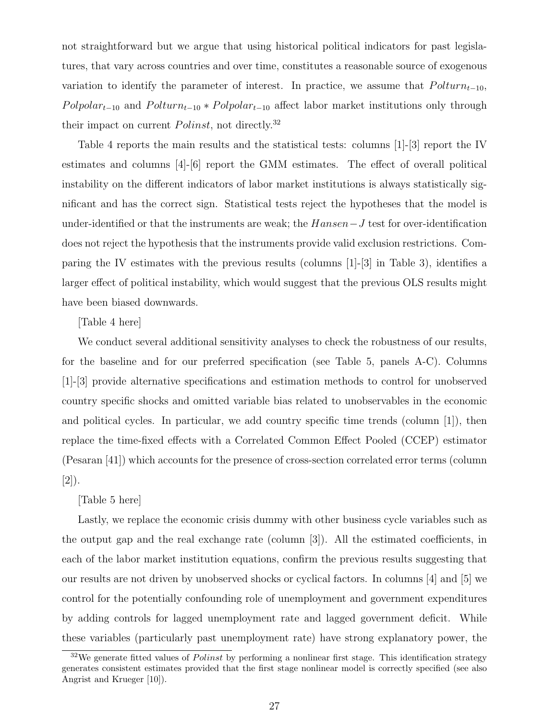not straightforward but we argue that using historical political indicators for past legislatures, that vary across countries and over time, constitutes a reasonable source of exogenous variation to identify the parameter of interest. In practice, we assume that  $Polturn_{t-10}$ ,  $Pol polar_{t-10}$  and  $Polturn_{t-10} * Pol polar_{t-10}$  affect labor market institutions only through their impact on current  $Polinst$ , not directly.<sup>32</sup>

Table 4 reports the main results and the statistical tests: columns [1]-[3] report the IV estimates and columns [4]-[6] report the GMM estimates. The effect of overall political instability on the different indicators of labor market institutions is always statistically significant and has the correct sign. Statistical tests reject the hypotheses that the model is under-identified or that the instruments are weak; the Hansen−J test for over-identification does not reject the hypothesis that the instruments provide valid exclusion restrictions. Comparing the IV estimates with the previous results (columns [1]-[3] in Table 3), identifies a larger effect of political instability, which would suggest that the previous OLS results might have been biased downwards.

#### [Table 4 here]

We conduct several additional sensitivity analyses to check the robustness of our results, for the baseline and for our preferred specification (see Table 5, panels A-C). Columns [1]-[3] provide alternative specifications and estimation methods to control for unobserved country specific shocks and omitted variable bias related to unobservables in the economic and political cycles. In particular, we add country specific time trends (column [1]), then replace the time-fixed effects with a Correlated Common Effect Pooled (CCEP) estimator (Pesaran [41]) which accounts for the presence of cross-section correlated error terms (column [2]).

#### [Table 5 here]

Lastly, we replace the economic crisis dummy with other business cycle variables such as the output gap and the real exchange rate (column [3]). All the estimated coefficients, in each of the labor market institution equations, confirm the previous results suggesting that our results are not driven by unobserved shocks or cyclical factors. In columns [4] and [5] we control for the potentially confounding role of unemployment and government expenditures by adding controls for lagged unemployment rate and lagged government deficit. While these variables (particularly past unemployment rate) have strong explanatory power, the

 $32\text{We generate fitted values of } Polish$  by performing a nonlinear first stage. This identification strategy generates consistent estimates provided that the first stage nonlinear model is correctly specified (see also Angrist and Krueger [10]).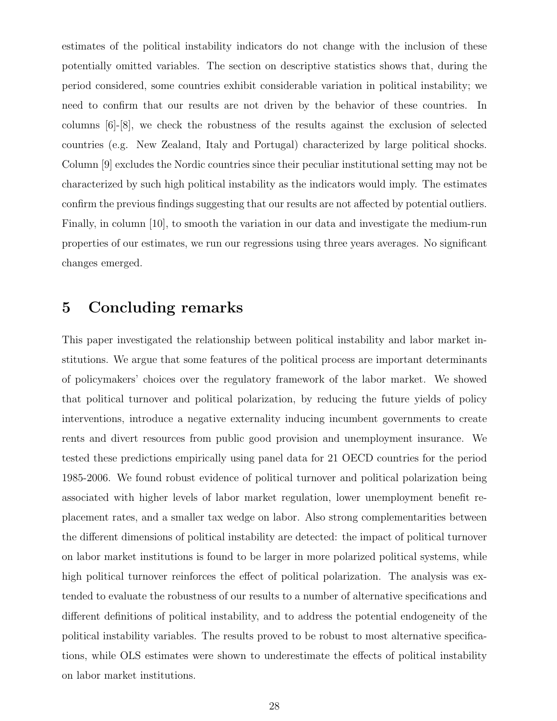estimates of the political instability indicators do not change with the inclusion of these potentially omitted variables. The section on descriptive statistics shows that, during the period considered, some countries exhibit considerable variation in political instability; we need to confirm that our results are not driven by the behavior of these countries. In columns [6]-[8], we check the robustness of the results against the exclusion of selected countries (e.g. New Zealand, Italy and Portugal) characterized by large political shocks. Column [9] excludes the Nordic countries since their peculiar institutional setting may not be characterized by such high political instability as the indicators would imply. The estimates confirm the previous findings suggesting that our results are not affected by potential outliers. Finally, in column [10], to smooth the variation in our data and investigate the medium-run properties of our estimates, we run our regressions using three years averages. No significant changes emerged.

## 5 Concluding remarks

This paper investigated the relationship between political instability and labor market institutions. We argue that some features of the political process are important determinants of policymakers' choices over the regulatory framework of the labor market. We showed that political turnover and political polarization, by reducing the future yields of policy interventions, introduce a negative externality inducing incumbent governments to create rents and divert resources from public good provision and unemployment insurance. We tested these predictions empirically using panel data for 21 OECD countries for the period 1985-2006. We found robust evidence of political turnover and political polarization being associated with higher levels of labor market regulation, lower unemployment benefit replacement rates, and a smaller tax wedge on labor. Also strong complementarities between the different dimensions of political instability are detected: the impact of political turnover on labor market institutions is found to be larger in more polarized political systems, while high political turnover reinforces the effect of political polarization. The analysis was extended to evaluate the robustness of our results to a number of alternative specifications and different definitions of political instability, and to address the potential endogeneity of the political instability variables. The results proved to be robust to most alternative specifications, while OLS estimates were shown to underestimate the effects of political instability on labor market institutions.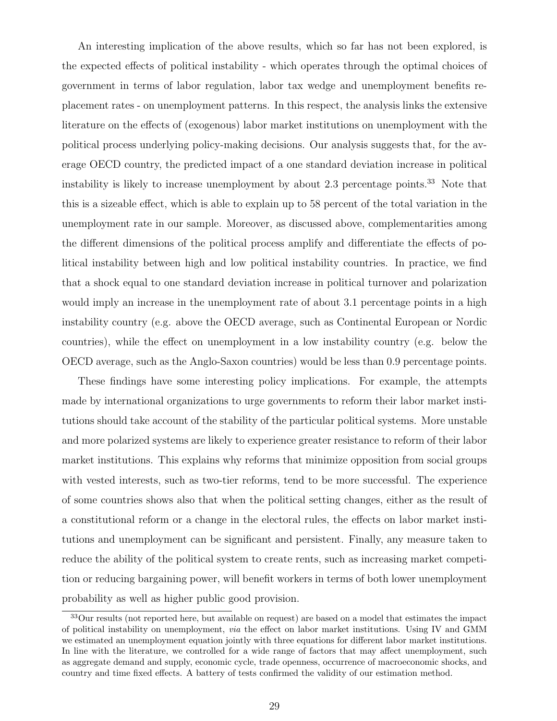An interesting implication of the above results, which so far has not been explored, is the expected effects of political instability - which operates through the optimal choices of government in terms of labor regulation, labor tax wedge and unemployment benefits replacement rates - on unemployment patterns. In this respect, the analysis links the extensive literature on the effects of (exogenous) labor market institutions on unemployment with the political process underlying policy-making decisions. Our analysis suggests that, for the average OECD country, the predicted impact of a one standard deviation increase in political instability is likely to increase unemployment by about 2.3 percentage points.<sup>33</sup> Note that this is a sizeable effect, which is able to explain up to 58 percent of the total variation in the unemployment rate in our sample. Moreover, as discussed above, complementarities among the different dimensions of the political process amplify and differentiate the effects of political instability between high and low political instability countries. In practice, we find that a shock equal to one standard deviation increase in political turnover and polarization would imply an increase in the unemployment rate of about 3.1 percentage points in a high instability country (e.g. above the OECD average, such as Continental European or Nordic countries), while the effect on unemployment in a low instability country (e.g. below the OECD average, such as the Anglo-Saxon countries) would be less than 0.9 percentage points.

These findings have some interesting policy implications. For example, the attempts made by international organizations to urge governments to reform their labor market institutions should take account of the stability of the particular political systems. More unstable and more polarized systems are likely to experience greater resistance to reform of their labor market institutions. This explains why reforms that minimize opposition from social groups with vested interests, such as two-tier reforms, tend to be more successful. The experience of some countries shows also that when the political setting changes, either as the result of a constitutional reform or a change in the electoral rules, the effects on labor market institutions and unemployment can be significant and persistent. Finally, any measure taken to reduce the ability of the political system to create rents, such as increasing market competition or reducing bargaining power, will benefit workers in terms of both lower unemployment probability as well as higher public good provision.

<sup>33</sup>Our results (not reported here, but available on request) are based on a model that estimates the impact of political instability on unemployment, via the effect on labor market institutions. Using IV and GMM we estimated an unemployment equation jointly with three equations for different labor market institutions. In line with the literature, we controlled for a wide range of factors that may affect unemployment, such as aggregate demand and supply, economic cycle, trade openness, occurrence of macroeconomic shocks, and country and time fixed effects. A battery of tests confirmed the validity of our estimation method.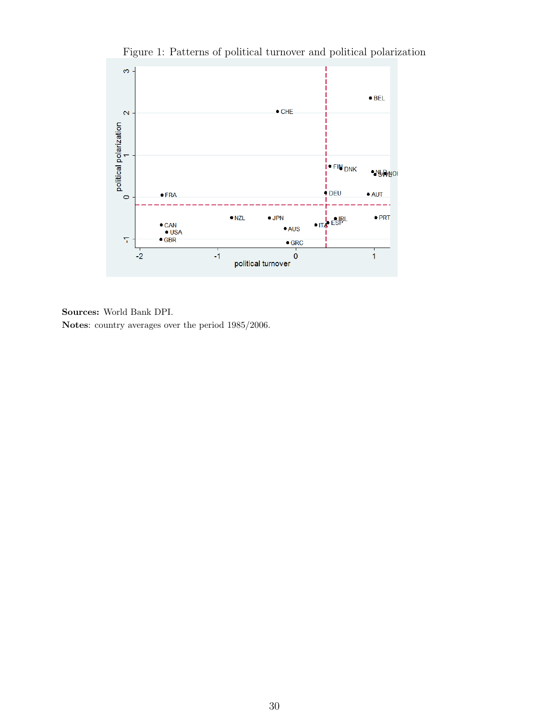

Figure 1: Patterns of political turnover and political polarization

#### Sources: World Bank DPI.

Notes: country averages over the period 1985/2006.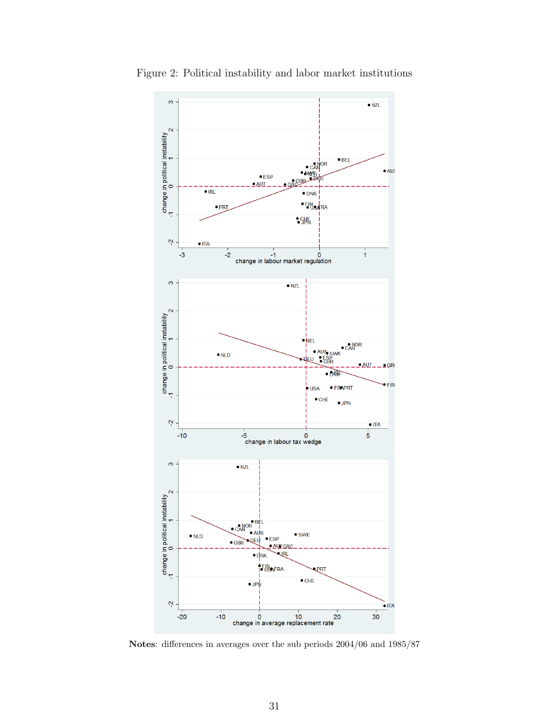

Figure 2: Political instability and labor market institutions

Notes: differences in averages over the sub periods 2004/06 and 1985/87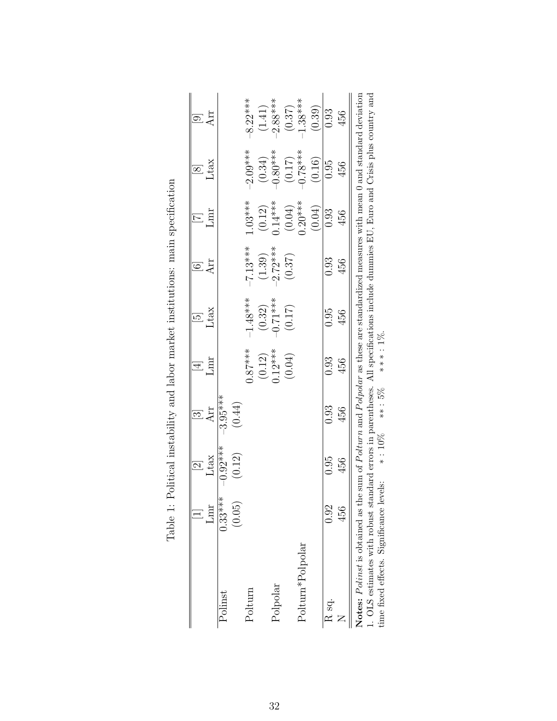|                  |                  | $\begin{array}{c} \boxed{2} \\ \text{Ltax} \end{array}$ |            |                     | $\overline{5}$       |            |                     |                        |            |
|------------------|------------------|---------------------------------------------------------|------------|---------------------|----------------------|------------|---------------------|------------------------|------------|
|                  | L <sub>max</sub> |                                                         | Arr        | Lmr                 | Ltax                 | $\rm{Arr}$ | mr                  | Ltax                   | Arr        |
| Polinst          | $0.33***$        | $-0.92***$                                              | $-3.95***$ |                     |                      |            |                     |                        |            |
|                  | (0.05)           | (0.12)                                                  | (0.44)     |                     |                      |            |                     |                        |            |
| $_{\rm Polturn}$ |                  |                                                         |            | $0.87***$           | $-1.48***$           | $-7.13***$ | $1.03***$           | $-2.09***$             | $-8.22***$ |
|                  |                  |                                                         |            | $(0.12)$<br>0.12*** |                      | (1.39)     |                     |                        | (1.41)     |
| Polpolar         |                  |                                                         |            |                     | $(0.32)$<br>-0.71*** | $-2.72***$ | $(0.12)$<br>0.14*** | $(0.34)$<br>$-0.80***$ | $-2.88***$ |
|                  |                  |                                                         |            | (0.04)              | (0.17)               | (0.37)     | $(0.04)$<br>0.20*** | $(0.17)$<br>0.78***    | (0.37)     |
| Polturn*Polpolar |                  |                                                         |            |                     |                      |            |                     |                        | $1.38***$  |
|                  |                  |                                                         |            |                     |                      |            | (0.04)              | (0.16)                 | (0.39)     |
| R sq.            | 0.92             | 0.95                                                    | 0.93       | 0.93                | 0.95                 | 0.93       | 0.93                | 0.95                   | 0.93       |
|                  | 456              | 456                                                     | 456        | 456                 | 456                  | 456        | 456                 | 456                    | 456        |

| Table 1: Political instability and labor market institutions: main specifical |
|-------------------------------------------------------------------------------|
|                                                                               |
|                                                                               |
|                                                                               |
|                                                                               |
|                                                                               |
|                                                                               |

| .<br>4                                 | $\frac{1}{2}$ | $\frac{1}{2}$ | י<br>ג | $\frac{1}{2}$                                                                                             | $\frac{1}{2}$ | $\frac{1}{2}$ | $\frac{1}{2}$ | $\frac{2}{3}$ | $\frac{1}{2}$ |
|----------------------------------------|---------------|---------------|--------|-----------------------------------------------------------------------------------------------------------|---------------|---------------|---------------|---------------|---------------|
| <b>Notes:</b> $Polinst$ is obtained as |               |               |        | the sum of $Polturn$ and $Polpolar$ as these are standardized measures with mean 0 and standard deviation |               |               |               |               |               |
| 1. OLS estimates with robust st        |               |               |        | standard errors in parentheses. All specifications include dummies EU, Euro and Crisis plus country and   |               |               |               |               |               |
| time fixed effects. Significance       |               |               |        |                                                                                                           |               |               |               |               |               |
|                                        |               |               |        |                                                                                                           |               |               |               |               |               |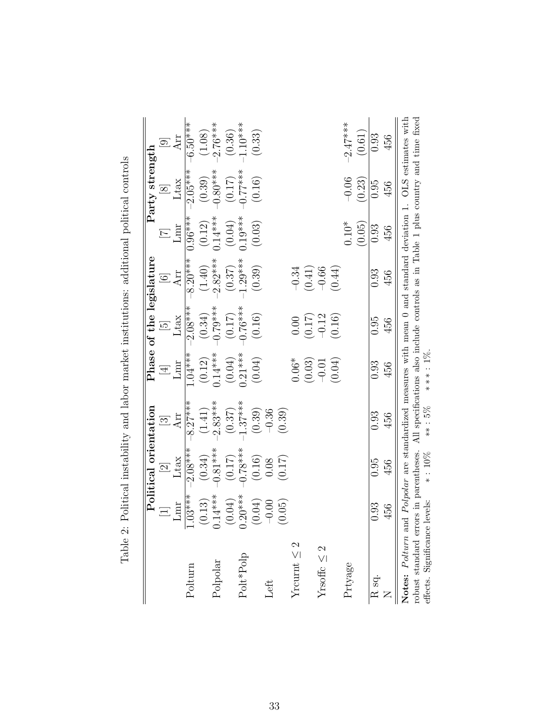|                                                                                                                |           | Political orientation            |                                                                                    |                     |                                                              | Phase of the legislature |                     | Party strength       |                     |
|----------------------------------------------------------------------------------------------------------------|-----------|----------------------------------|------------------------------------------------------------------------------------|---------------------|--------------------------------------------------------------|--------------------------|---------------------|----------------------|---------------------|
|                                                                                                                |           | $\frac{\text{[2]}}{\text{Ltax}}$ | $\Xi$                                                                              | $\frac{1}{2}$       | $\begin{array}{c} \mathrm{[5]} \\ \mathrm{Ltax} \end{array}$ | $\odot$                  |                     | $\boxed{8}$          |                     |
|                                                                                                                | Lmr       |                                  | Arr                                                                                |                     |                                                              | Arr                      | Lnur                | Ltax                 | Arr                 |
| Polturn                                                                                                        | $1.03***$ | $2.08***$                        | $8.27***$                                                                          | $1.04***$           | $-2.08***$                                                   | $-8.20***$               | $0.96***$           | $-2.05***$           | $-6.50$ ***         |
|                                                                                                                | (0.13)    | (0.34)                           | (1.41)                                                                             | (0.12)              | (0.34)                                                       | (1.40)                   | $\left(0.12\right)$ | (0.39)               | (1.08)              |
| Polpolar                                                                                                       | $0.14***$ | $0.81***$                        | $2.83***$                                                                          | $0.14***$           | $-0.79***$                                                   | $-2.82***$               | $0.14***$           | $-0.80***$           | $2.76***$           |
|                                                                                                                | (0.04)    | (0.17)                           | (0.37)                                                                             |                     | $(0.17)$<br>-0.76***                                         | (0.37)                   |                     | $(0.17)$<br>-0.77*** |                     |
| Polt*Polp                                                                                                      | $0.20***$ | $0.78***$                        | $1.37***$                                                                          | $(0.04)$<br>0.21*** |                                                              | $1.29***$                | $(0.04)$<br>0.19*** |                      | $(0.36)$<br>1.10*** |
|                                                                                                                | (0.04)    | (0.16)                           | (0.39)                                                                             | (0.04)              | (0.16)                                                       | (0.39)                   | (0.03)              | (0.16)               | (0.33)              |
| Left                                                                                                           | $-0.00$   | 0.08                             | $-0.36$                                                                            |                     |                                                              |                          |                     |                      |                     |
|                                                                                                                | (0.05)    | (0.17)                           | (0.39)                                                                             |                     |                                                              |                          |                     |                      |                     |
| Yrcurnt $\leq 2$                                                                                               |           |                                  |                                                                                    | $0.06*$             | 0.00                                                         | $-0.34$                  |                     |                      |                     |
|                                                                                                                |           |                                  |                                                                                    | (0.03)              | $(0.17)$<br>-0.12                                            | $(0.41)$<br>-0.66        |                     |                      |                     |
| Yrsoffc $\leq 2$                                                                                               |           |                                  |                                                                                    | $-0.01$             |                                                              |                          |                     |                      |                     |
|                                                                                                                |           |                                  |                                                                                    | (0.04)              | (0.16)                                                       | (0.44)                   |                     |                      |                     |
| Prtyage                                                                                                        |           |                                  |                                                                                    |                     |                                                              |                          | $0.10*$             | $-0.06$              | $-2.47***$          |
|                                                                                                                |           |                                  |                                                                                    |                     |                                                              |                          | (0.05)              | (0.23)               | (0.61)              |
| R <sub>sq</sub> .                                                                                              | 0.93      | 0.95                             | 0.93                                                                               | 0.93                | 0.95                                                         | 0.93                     | 0.93                | 0.95                 | 0.93                |
| $\geq$                                                                                                         | 456       | 456                              | 456                                                                                | 456                 | 456                                                          | 456                      | 456                 | 456                  | 456                 |
| Notes: Polturn and Polpolar are standardized measures with mean 0 and standard deviation 1. OLS estimates with |           |                                  |                                                                                    |                     |                                                              |                          |                     |                      |                     |
| robust standard errors in parentheses.                                                                         |           |                                  | All specifications also include controls as in Table 1 plus country and time fixed |                     |                                                              |                          |                     |                      |                     |
| effects. Significance levels:                                                                                  |           | $*: 10\%$                        | $***:5\%$                                                                          | ****: 1%.           |                                                              |                          |                     |                      |                     |

effects. Significance levels: ∗ : 10% ∗∗ : 5% ∗ ∗ ∗ : 1%.

Table 2: Political instability and labor market institutions: additional political controls Table 2: Political instability and labor market institutions: additional political controls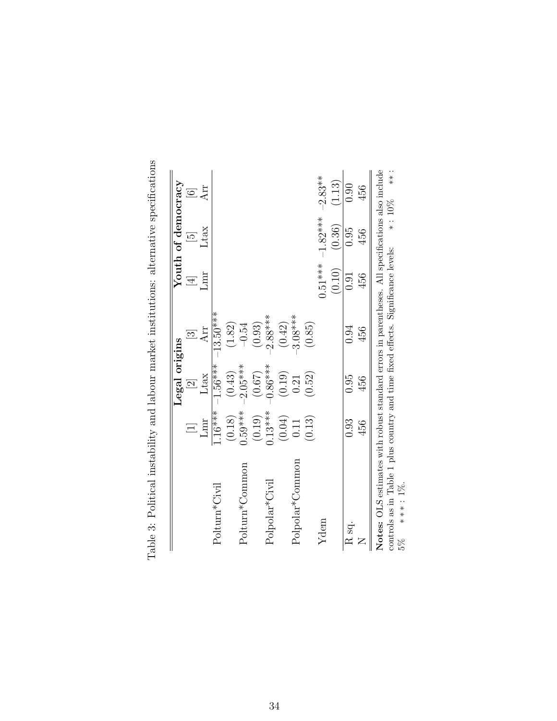|                             |                     | Legal origins                                 |                |           | Youth of democracy  |           |
|-----------------------------|---------------------|-----------------------------------------------|----------------|-----------|---------------------|-----------|
|                             |                     | $\overline{\mathcal{C}}$                      | $\overline{3}$ | $\equiv$  | $\overline{\omega}$ |           |
|                             | Lmr                 | Ltax                                          | Arr            | mr        | Ltax                | Arr       |
| Polturn*Civil               | $4**16*$            | $-1.56***$                                    | $-13.50***$    |           |                     |           |
|                             | (0.18)              |                                               | (1.82)         |           |                     |           |
| Polturn*Common              | $0.59***$           | $(0.43)$<br>-2.05***                          | $-0.54$        |           |                     |           |
|                             |                     | (0.67)                                        | (0.93)         |           |                     |           |
| Polpolar <sup>*</sup> Civil | $(0.19)$<br>0.13*** | $0.86***$                                     | $-2.88***$     |           |                     |           |
|                             | (0.04)              |                                               | (0.42)         |           |                     |           |
| Polpolar*Common             | 0.11                | $\begin{array}{c} (0.19) \\ 0.21 \end{array}$ | $3.08***$      |           |                     |           |
|                             | (0.13)              | (0.52)                                        | (0.85)         |           |                     |           |
| Ydem                        |                     |                                               |                | $0.51***$ | $-1.82***$          | $-2.83**$ |
|                             |                     |                                               |                | (0.10)    | (0.36)              | (1.13)    |
| R <sub>sq</sub> .           | 0.93                | 0.95                                          | 0.94           | 0.91      | 0.95                | 0.90      |
|                             | 456                 | 456                                           | 456            | 456       | 456                 | 456       |

Table 3: Political instability and labour market institutions: alternative specifications Table 3: Political instability and labour market institutions: alternative specifications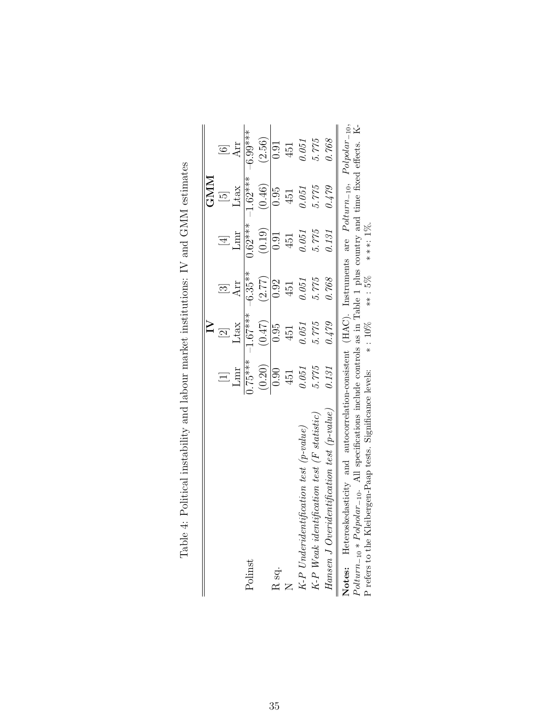|                                                                                                                                                                                                                                              |            |                           |           |                | <b>GNM</b>          |            |
|----------------------------------------------------------------------------------------------------------------------------------------------------------------------------------------------------------------------------------------------|------------|---------------------------|-----------|----------------|---------------------|------------|
|                                                                                                                                                                                                                                              | $\Xi$      | $\overline{\mathfrak{D}}$ | $\Xi$     | $\overline{4}$ | $\overline{\omega}$ |            |
|                                                                                                                                                                                                                                              | Lmr        | Ltax                      | Arr       | Lmr            | Ltax                | Arr        |
| Polinst                                                                                                                                                                                                                                      | $-1.75***$ | $-1.67***$                | $-6.35**$ | $0.62***$      | $-1.62***$          | $-6.99***$ |
|                                                                                                                                                                                                                                              | (0.20)     | (0.47)                    | (2.77)    | (0.19)         | (0.46)              | (2.56)     |
| R sq.                                                                                                                                                                                                                                        | 0.90       | 0.95                      | 0.92      | 0.91           | 0.95                | 0.91       |
|                                                                                                                                                                                                                                              | 451        | 451                       | 451       | 451            | 451                 | 451        |
| $K-P$ Underidentification test (p-value)                                                                                                                                                                                                     | 0.051      | 0.051                     | 0.051     | 0.051          | 0.051               | 0.051      |
| $K-P$ Weak identification test (F statistic)                                                                                                                                                                                                 | 5.775      | 5.775                     | 5.775     | 5.775          | 5.775               | 5.775      |
| Hansen J Overidentification test $(p$ -value)                                                                                                                                                                                                | 0.131      | 0.479                     | 0.768     | $0.131\,$      | 0.479               | 0.768      |
| Notes: Heteroskedasticity and autocorrelation-consistent (HAC). Instruments are Polturn-10, Polpolar-10,<br>$Poltur_{n-i} \times Polfnolar_{-i}$ . All specifications include controls as in Table 1 plus country and time fixed effects. K- |            |                           |           |                |                     |            |

| いっしょく                                                                                                         |
|---------------------------------------------------------------------------------------------------------------|
|                                                                                                               |
| l                                                                                                             |
|                                                                                                               |
|                                                                                                               |
| $\sim$ . The same of $\sim$                                                                                   |
|                                                                                                               |
| - 2001 - 2002 - 2003 - 2004 - 2003 - 2014 - 2015 - 2016 - 2017 - 2018 - 2018 - 2018 - 2018 - 2018 - 2018 - 20 |
| $\frac{1}{2}$ . $\frac{1}{2}$ . $\frac{1}{2}$ . $\frac{1}{2}$ . $\frac{1}{2}$                                 |
| .<br>.<br>.                                                                                                   |

−10. All specifications include controls as in Table 1 plus country and time fixed effects. K-Notes: Heteroskedasticity and autocorrelation-consistent (HAC). Instruments are Polturn *F outurn*-10 \* *F oupour* -10. An specifications include controls as in Table 1 plus country and refers to the Kleibergen-Paap tests. Significance levels: \*:  $10\%$  \*\*:  $5\%$  \*\*\*:  $1\%$ . P refers to the Kleibergen-Paap tests. Significance levels: ∗ : 10% ∗∗ : 5% ∗ ∗ ∗: 1%.  $-10 * Polyolar$  $\mathbb{R}$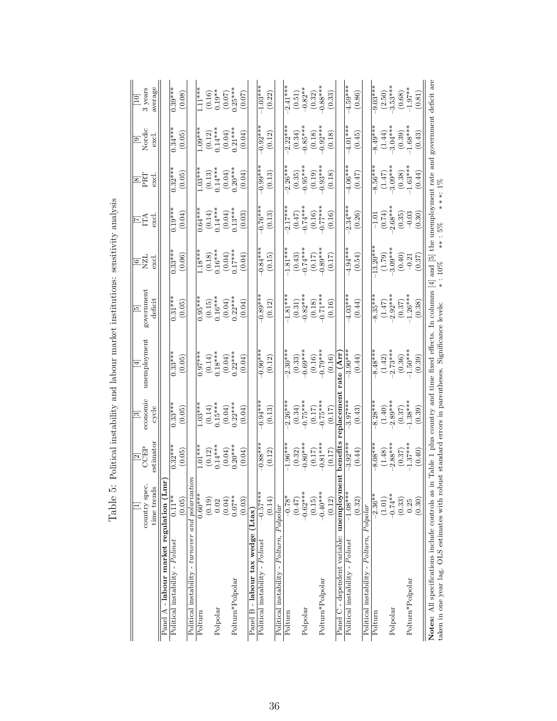|                                                                                                                                                        | country spec.<br>time trends | estimator<br>$\frac{2}{\text{CEP}}$              | economic<br>cycle<br>$\overline{\mathbb{S}}$ | unemployment<br>$\overline{4}$                             | government<br>deficit<br><u>ত্র</u> | NZL<br>excl<br>$\Xi$     | EÃ<br>excl                                             | PRT<br>excl<br>$\boxed{8}$                       | Nordic<br>excl.<br>$\Xi$                         | average<br>3 years<br>$\boxed{10}$ |
|--------------------------------------------------------------------------------------------------------------------------------------------------------|------------------------------|--------------------------------------------------|----------------------------------------------|------------------------------------------------------------|-------------------------------------|--------------------------|--------------------------------------------------------|--------------------------------------------------|--------------------------------------------------|------------------------------------|
| - labour market regulation (Lmr)<br>Panel                                                                                                              |                              |                                                  |                                              |                                                            |                                     |                          |                                                        |                                                  |                                                  |                                    |
| Political instability - Polinst                                                                                                                        | $0.11**$                     | $0.32***$                                        | $0.33***$                                    | $0.33***$                                                  | $0.31***$                           | $0.33***$                | $0.19***$                                              | $\frac{1}{0.32}$ ***                             | $0.34***$                                        | $0.39***$                          |
|                                                                                                                                                        | (0.05)                       | (0.05)                                           | (0.05)                                       | (0.05)                                                     | (0.05)                              | (0.06)                   | (0.04)                                                 | (0.05)                                           | (0.05)                                           | (0.08)                             |
| Political instability - turnover and polarizat                                                                                                         | $i$ on                       |                                                  |                                              |                                                            |                                     |                          |                                                        |                                                  |                                                  |                                    |
| Polturn                                                                                                                                                | $0.60***$                    | $1.01***$                                        | $1.03***$                                    | $0.97***$                                                  | $0.95***$                           | $1.18***$                | $0.64***$                                              | $1.03***$                                        | $1.09***$                                        | $1.11***$                          |
|                                                                                                                                                        | (0.19)                       |                                                  |                                              | $\begin{array}{c} (0.14) \\ 0.18*** \end{array}$           | $(0.15)$<br>0.16***                 |                          | $\begin{array}{c} (0.14) \\ 0.14*** \end{array}$       | $\begin{array}{c} (0.13) \\ 0.14*** \end{array}$ |                                                  |                                    |
| Polpolar                                                                                                                                               | 0.02                         | $\begin{array}{c} (0.12) \\ 0.14*** \end{array}$ | $(0.14)$<br>0.15***                          |                                                            |                                     | $(0.18)$<br>0.16***      |                                                        |                                                  | $\begin{array}{c} (0.12) \\ 0.14*** \end{array}$ | $(0.16)$<br>0.19**                 |
|                                                                                                                                                        | (0.04)                       | $(0.04)$<br>0.20***                              | $(0.04)$<br>0.22***                          | $(0.04)$<br>0.22***                                        | $(0.04)$<br>0.22***                 | $(0.04)$<br>0.17***      | $\begin{array}{c} (0.04) \\ 0.13*** \end{array}$       | $(0.04)$<br>0.20***<br>(0.04)                    | $(0.04)$<br>0.21***                              | $(0.07)$<br>0.25***                |
| Polturn*Polpolar                                                                                                                                       | $0.07**$                     |                                                  |                                              |                                                            |                                     |                          |                                                        |                                                  |                                                  |                                    |
|                                                                                                                                                        | (0.03)                       | (0.04)                                           | (0.04)                                       | (0.04)                                                     | (0.04)                              | (0.04)                   | (0.03)                                                 |                                                  | (0.04)                                           | (0.07)                             |
| Panel B - labour tax wedge                                                                                                                             | $[$ L $\tan$                 |                                                  |                                              |                                                            |                                     |                          |                                                        |                                                  |                                                  |                                    |
| Political instability - Polinst                                                                                                                        | $-0.57***$                   | $-0.88***$                                       | $-0.94***$                                   | $-0.90***$                                                 | $-0.89***$                          | $-0.84***$               | $-0.76***$                                             | $-0.99***$                                       | $-0.92***$                                       | $-1.03***$                         |
|                                                                                                                                                        | (0.14)                       | (0.12)                                           | (0.13)                                       | (0.12)                                                     | (0.12)                              | (0.15)                   | (0.13)                                                 | (0.13)                                           | (0.12)                                           | (0.22)                             |
| Political instability - Polturn, Polpolar                                                                                                              |                              |                                                  |                                              |                                                            |                                     |                          |                                                        |                                                  |                                                  |                                    |
| Polturn                                                                                                                                                | $-0.78*$                     | $-1.96***$                                       | $2.26***$                                    | $-2.30***$                                                 | $-1.81***$                          | $-1.81***$               | $-2.17***$                                             | $-2.26***$                                       | $2.22***$                                        | $-2.41***$                         |
|                                                                                                                                                        | (0.47)                       | (0.32)                                           | (0.34)                                       | (0.33)                                                     |                                     | (0.43)                   | $(0.47)$<br>-0.74***                                   | (0.35)                                           | (0.34)                                           |                                    |
| Polpolar                                                                                                                                               | $-0.62***$                   | $-0.80***$                                       | $0.75***$                                    | $-0.69***$                                                 | $(0.31)$<br>$-0.82***$              | $-0.74***$               |                                                        | $0.95***$                                        | $-0.85***$                                       | $(0.51)$<br>-0.82**                |
|                                                                                                                                                        | (0.15)                       | (0.17)                                           | $(0.17)$<br>-0.75***                         | $(0.16)$<br>-0.79***                                       | $(0.18)$<br>-0.71***                | $(0.17)$                 | $(0.16)$<br>-0.77***                                   | (0.19)                                           | (0.18)                                           | $(0.32)$<br>$-0.88***$             |
| Polturn*Polpolar                                                                                                                                       | $-0.40***$                   | $-0.81***$                                       |                                              |                                                            |                                     | $-0.89***$               |                                                        | $-0.93***$                                       | $0.92***$                                        |                                    |
|                                                                                                                                                        | (0.12)                       | (0.17)                                           | (0.17)                                       | (0.16)                                                     | (0.16)                              | (0.17)                   | (0.16)                                                 | (0.18)                                           | (0.18)                                           | (0.33)                             |
| Panel C - dependent variable: unemploym                                                                                                                | nent                         | benefits                                         | eplacemen                                    | (Arr                                                       |                                     |                          |                                                        |                                                  |                                                  |                                    |
| Political instability - Polinst                                                                                                                        | $-1.08***$                   | $-3.92***$                                       | $-3.97***$                                   | $-3.90***$                                                 | $-4.03***$                          | $-4.94***$               | $-2.34***$                                             | $-4.06***$                                       | $-4.01***$                                       | $-4.59***$                         |
|                                                                                                                                                        | (0.32)                       | (0.44)                                           | (0.43)                                       | (0.44)                                                     | (0.44)                              | (0.54)                   | (0.26)                                                 | (0.47)                                           | (0.45)                                           | (0.86)                             |
| Political instability - Polturn,                                                                                                                       | Polpolar                     |                                                  |                                              |                                                            |                                     |                          |                                                        |                                                  |                                                  |                                    |
| Polturn                                                                                                                                                | $-2.36**$                    | $-8.08***$                                       | $-8.28***$                                   | $-8.48***$                                                 | $-8.35***$                          | $-13.20***$              | $-1.01$                                                | $-8.56***$                                       | $-8.49***$                                       | $-9.03***$                         |
|                                                                                                                                                        | (1.01)                       | (1.48)                                           | (1.40)                                       | (1.42)                                                     | $(1.47)$<br>$-2.92***$              | $(1.79)$<br>$-3.09***$   | $(0.74)$<br>2.68***                                    | $(1.47)$<br>-3.09***                             | (1.44)                                           | $(2.50)$<br>-3.53***               |
| Polpolar                                                                                                                                               | $-0.74**$                    | $2.88***$                                        | $2.89***$                                    | $2.73***$                                                  |                                     |                          |                                                        |                                                  | $3.04***$                                        |                                    |
|                                                                                                                                                        | (0.33)                       | $\left( 0.37\right)$                             | $(0.37)$                                     | (0.36)                                                     | $(0.37)$<br>-1.26***                | (0.40)                   | (0.35)                                                 | $(0.38)$<br>-1.63***                             | $(0.39)$<br>1.68***                              | $(0.68)$<br>-1.97**                |
| Polturn*Polpolar                                                                                                                                       | 0.25                         | $-1.37***$                                       | $-1.38***$                                   | $-1.50***$                                                 |                                     | $-0.21$                  | $-0.03$                                                |                                                  |                                                  |                                    |
|                                                                                                                                                        | (0.30)                       | (0.40)                                           | (0.39)                                       | (0.39)                                                     | (0.38)                              | (0.37)                   | (0.30)                                                 | (0.44)                                           | (0.43)                                           | (0.81)                             |
| taken in one year lag. OLS estimates with robust standard errors in parentheses. Significance levels:<br>Notes: All specifications include controls as |                              |                                                  |                                              | in Table 1 plus country and time fixed effects. In columns | $\overline{4}$                      | <br>**<br>and [5]<br>10% | the unemployment rate and government deficit are<br>5% | ***: 1%                                          |                                                  |                                    |

Table 5: Political instability and labour market institutions: sensitivity analysis Table 5: Political instability and labour market institutions: sensitivity analysis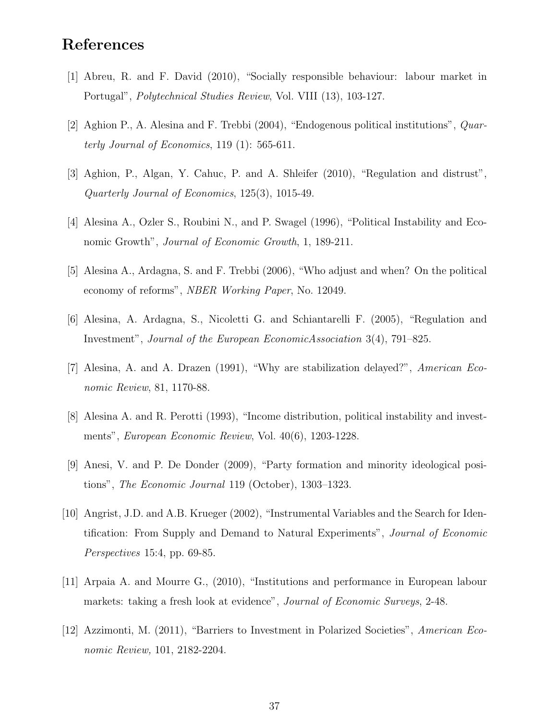## References

- [1] Abreu, R. and F. David (2010), "Socially responsible behaviour: labour market in Portugal", Polytechnical Studies Review, Vol. VIII (13), 103-127.
- [2] Aghion P., A. Alesina and F. Trebbi (2004), "Endogenous political institutions", Quarterly Journal of Economics, 119 (1): 565-611.
- [3] Aghion, P., Algan, Y. Cahuc, P. and A. Shleifer (2010), "Regulation and distrust", Quarterly Journal of Economics, 125(3), 1015-49.
- [4] Alesina A., Ozler S., Roubini N., and P. Swagel (1996), "Political Instability and Economic Growth", Journal of Economic Growth, 1, 189-211.
- [5] Alesina A., Ardagna, S. and F. Trebbi (2006), "Who adjust and when? On the political economy of reforms", NBER Working Paper, No. 12049.
- [6] Alesina, A. Ardagna, S., Nicoletti G. and Schiantarelli F. (2005), "Regulation and Investment", Journal of the European EconomicAssociation 3(4), 791–825.
- [7] Alesina, A. and A. Drazen (1991), "Why are stabilization delayed?", American Economic Review, 81, 1170-88.
- [8] Alesina A. and R. Perotti (1993), "Income distribution, political instability and investments", European Economic Review, Vol. 40(6), 1203-1228.
- [9] Anesi, V. and P. De Donder (2009), "Party formation and minority ideological positions", The Economic Journal 119 (October), 1303–1323.
- [10] Angrist, J.D. and A.B. Krueger (2002), "Instrumental Variables and the Search for Identification: From Supply and Demand to Natural Experiments", Journal of Economic Perspectives 15:4, pp. 69-85.
- [11] Arpaia A. and Mourre G., (2010), "Institutions and performance in European labour markets: taking a fresh look at evidence", *Journal of Economic Surveys*, 2-48.
- [12] Azzimonti, M. (2011), "Barriers to Investment in Polarized Societies", American Economic Review, 101, 2182-2204.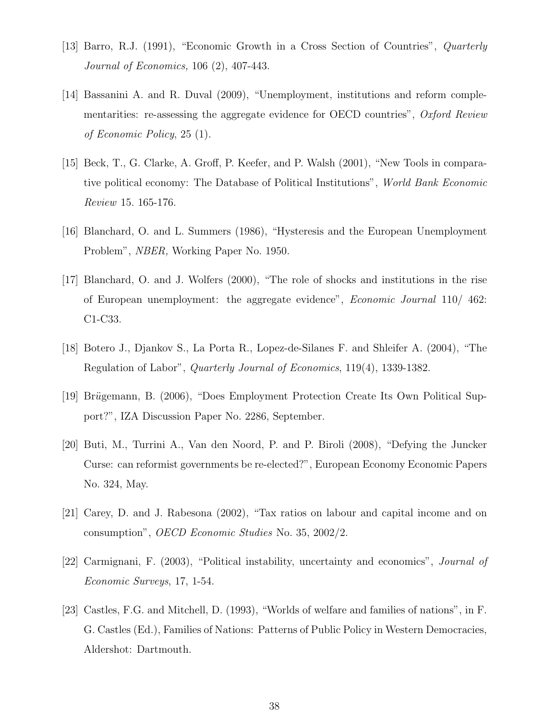- [13] Barro, R.J. (1991), "Economic Growth in a Cross Section of Countries", Quarterly Journal of Economics, 106 (2), 407-443.
- [14] Bassanini A. and R. Duval (2009), "Unemployment, institutions and reform complementarities: re-assessing the aggregate evidence for OECD countries", Oxford Review of Economic Policy, 25 (1).
- [15] Beck, T., G. Clarke, A. Groff, P. Keefer, and P. Walsh (2001), "New Tools in comparative political economy: The Database of Political Institutions", World Bank Economic Review 15. 165-176.
- [16] Blanchard, O. and L. Summers (1986), "Hysteresis and the European Unemployment Problem", NBER, Working Paper No. 1950.
- [17] Blanchard, O. and J. Wolfers (2000), "The role of shocks and institutions in the rise of European unemployment: the aggregate evidence", Economic Journal 110/ 462: C1-C33.
- [18] Botero J., Djankov S., La Porta R., Lopez-de-Silanes F. and Shleifer A. (2004), "The Regulation of Labor", Quarterly Journal of Economics, 119(4), 1339-1382.
- [19] Brügemann, B. (2006), "Does Employment Protection Create Its Own Political Support?", IZA Discussion Paper No. 2286, September.
- [20] Buti, M., Turrini A., Van den Noord, P. and P. Biroli (2008), "Defying the Juncker Curse: can reformist governments be re-elected?", European Economy Economic Papers No. 324, May.
- [21] Carey, D. and J. Rabesona (2002), "Tax ratios on labour and capital income and on consumption", OECD Economic Studies No. 35, 2002/2.
- [22] Carmignani, F. (2003), "Political instability, uncertainty and economics", Journal of Economic Surveys, 17, 1-54.
- [23] Castles, F.G. and Mitchell, D. (1993), "Worlds of welfare and families of nations", in F. G. Castles (Ed.), Families of Nations: Patterns of Public Policy in Western Democracies, Aldershot: Dartmouth.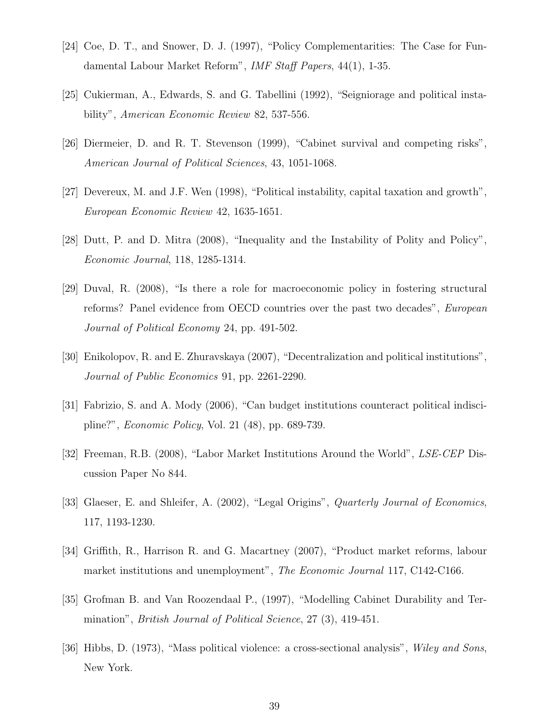- [24] Coe, D. T., and Snower, D. J. (1997), "Policy Complementarities: The Case for Fundamental Labour Market Reform", IMF Staff Papers, 44(1), 1-35.
- [25] Cukierman, A., Edwards, S. and G. Tabellini (1992), "Seigniorage and political instability", American Economic Review 82, 537-556.
- [26] Diermeier, D. and R. T. Stevenson (1999), "Cabinet survival and competing risks", American Journal of Political Sciences, 43, 1051-1068.
- [27] Devereux, M. and J.F. Wen (1998), "Political instability, capital taxation and growth", European Economic Review 42, 1635-1651.
- [28] Dutt, P. and D. Mitra (2008), "Inequality and the Instability of Polity and Policy", Economic Journal, 118, 1285-1314.
- [29] Duval, R. (2008), "Is there a role for macroeconomic policy in fostering structural reforms? Panel evidence from OECD countries over the past two decades", European Journal of Political Economy 24, pp. 491-502.
- [30] Enikolopov, R. and E. Zhuravskaya (2007), "Decentralization and political institutions", Journal of Public Economics 91, pp. 2261-2290.
- [31] Fabrizio, S. and A. Mody (2006), "Can budget institutions counteract political indiscipline?", Economic Policy, Vol. 21 (48), pp. 689-739.
- [32] Freeman, R.B. (2008), "Labor Market Institutions Around the World", LSE-CEP Discussion Paper No 844.
- [33] Glaeser, E. and Shleifer, A. (2002), "Legal Origins", *Quarterly Journal of Economics*, 117, 1193-1230.
- [34] Griffith, R., Harrison R. and G. Macartney (2007), "Product market reforms, labour market institutions and unemployment", The Economic Journal 117, C142-C166.
- [35] Grofman B. and Van Roozendaal P., (1997), "Modelling Cabinet Durability and Termination", British Journal of Political Science, 27 (3), 419-451.
- [36] Hibbs, D. (1973), "Mass political violence: a cross-sectional analysis", Wiley and Sons, New York.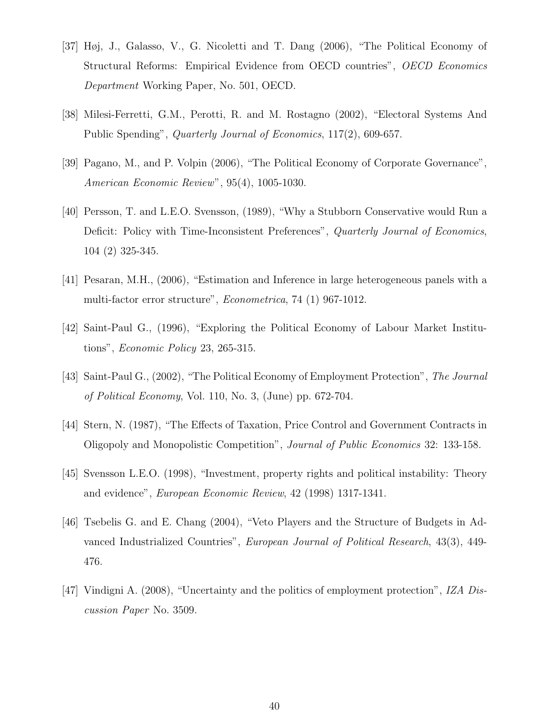- [37] Høj, J., Galasso, V., G. Nicoletti and T. Dang (2006), "The Political Economy of Structural Reforms: Empirical Evidence from OECD countries", OECD Economics Department Working Paper, No. 501, OECD.
- [38] Milesi-Ferretti, G.M., Perotti, R. and M. Rostagno (2002), "Electoral Systems And Public Spending", Quarterly Journal of Economics, 117(2), 609-657.
- [39] Pagano, M., and P. Volpin (2006), "The Political Economy of Corporate Governance", American Economic Review", 95(4), 1005-1030.
- [40] Persson, T. and L.E.O. Svensson, (1989), "Why a Stubborn Conservative would Run a Deficit: Policy with Time-Inconsistent Preferences", Quarterly Journal of Economics, 104 (2) 325-345.
- [41] Pesaran, M.H., (2006), "Estimation and Inference in large heterogeneous panels with a multi-factor error structure", Econometrica, 74 (1) 967-1012.
- [42] Saint-Paul G., (1996), "Exploring the Political Economy of Labour Market Institutions", Economic Policy 23, 265-315.
- [43] Saint-Paul G., (2002), "The Political Economy of Employment Protection", The Journal of Political Economy, Vol. 110, No. 3, (June) pp. 672-704.
- [44] Stern, N. (1987), "The Effects of Taxation, Price Control and Government Contracts in Oligopoly and Monopolistic Competition", Journal of Public Economics 32: 133-158.
- [45] Svensson L.E.O. (1998), "Investment, property rights and political instability: Theory and evidence", European Economic Review, 42 (1998) 1317-1341.
- [46] Tsebelis G. and E. Chang (2004), "Veto Players and the Structure of Budgets in Advanced Industrialized Countries", European Journal of Political Research, 43(3), 449- 476.
- [47] Vindigni A. (2008), "Uncertainty and the politics of employment protection", IZA Discussion Paper No. 3509.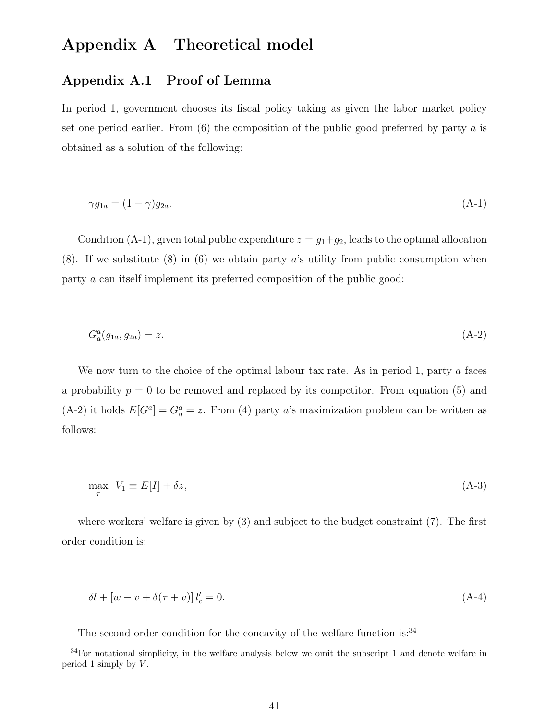## Appendix A Theoretical model

#### Appendix A.1 Proof of Lemma

In period 1, government chooses its fiscal policy taking as given the labor market policy set one period earlier. From  $(6)$  the composition of the public good preferred by party a is obtained as a solution of the following:

$$
\gamma g_{1a} = (1 - \gamma) g_{2a}.\tag{A-1}
$$

Condition (A-1), given total public expenditure  $z = g_1+g_2$ , leads to the optimal allocation  $(8)$ . If we substitute  $(8)$  in  $(6)$  we obtain party a's utility from public consumption when party a can itself implement its preferred composition of the public good:

$$
G_a^a(g_{1a}, g_{2a}) = z.
$$
\n(A-2)

We now turn to the choice of the optimal labour tax rate. As in period 1, party a faces a probability  $p = 0$  to be removed and replaced by its competitor. From equation (5) and (A-2) it holds  $E[G^a] = G^a_a = z$ . From (4) party a's maximization problem can be written as follows:

$$
\max_{\tau} V_1 \equiv E[I] + \delta z,\tag{A-3}
$$

where workers' welfare is given by (3) and subject to the budget constraint (7). The first order condition is:

$$
\delta l + \left[ w - v + \delta(\tau + v) \right] l'_c = 0. \tag{A-4}
$$

The second order condition for the concavity of the welfare function is: $34$ 

 $34$ For notational simplicity, in the welfare analysis below we omit the subscript 1 and denote welfare in period 1 simply by  $V$ .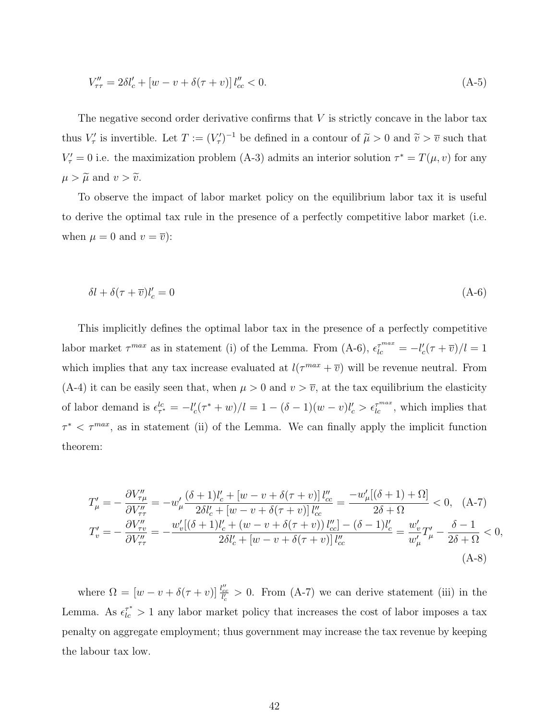$$
V''_{\tau\tau} = 2\delta l_c' + [w - v + \delta(\tau + v)] l''_{cc} < 0.
$$
\n(A-5)

The negative second order derivative confirms that  $V$  is strictly concave in the labor tax thus  $V'_\tau$  is invertible. Let  $T := (V'_\tau)^{-1}$  be defined in a contour of  $\tilde{\mu} > 0$  and  $\tilde{v} > \overline{v}$  such that  $V'_{\tau} = 0$  i.e. the maximization problem (A-3) admits an interior solution  $\tau^* = T(\mu, v)$  for any  $\mu > \widetilde{\mu}$  and  $v > \widetilde{v}$ .

To observe the impact of labor market policy on the equilibrium labor tax it is useful to derive the optimal tax rule in the presence of a perfectly competitive labor market (i.e. when  $\mu = 0$  and  $v = \overline{v}$ :

$$
\delta l + \delta(\tau + \overline{v})l_c' = 0\tag{A-6}
$$

This implicitly defines the optimal labor tax in the presence of a perfectly competitive labor market  $\tau^{max}$  as in statement (i) of the Lemma. From (A-6),  $\epsilon_{lc}^{\tau^{max}} = -l'_{c}(\tau + \overline{v})/l = 1$ which implies that any tax increase evaluated at  $l(\tau^{max} + \overline{v})$  will be revenue neutral. From (A-4) it can be easily seen that, when  $\mu > 0$  and  $v > \overline{v}$ , at the tax equilibrium the elasticity of labor demand is  $\epsilon_{\tau^*}^{lc} = -l'_c(\tau^* + w)/l = 1 - (\delta - 1)(w - v)l'_c > \epsilon_{lc}^{\tau^{max}}$ , which implies that  $\tau^* < \tau^{max}$ , as in statement (ii) of the Lemma. We can finally apply the implicit function theorem:

$$
T'_{\mu} = -\frac{\partial V''_{\tau\mu}}{\partial V''_{\tau\tau}} = -w'_{\mu} \frac{(\delta + 1)l'_{c} + [w - v + \delta(\tau + v)] l''_{cc}}{2\delta l'_{c} + [w - v + \delta(\tau + v)] l''_{cc}} = \frac{-w'_{\mu}[(\delta + 1) + \Omega]}{2\delta + \Omega} < 0, \quad (A-7)
$$
  

$$
T'_{v} = -\frac{\partial V''_{\tau v}}{\partial V''_{\tau\tau}} = -\frac{w'_{v}[(\delta + 1)l'_{c} + (w - v + \delta(\tau + v)) l''_{cc}] - (\delta - 1)l'_{c}}{2\delta l'_{c} + [w - v + \delta(\tau + v)] l''_{cc}} = \frac{w'_{v}}{w'_{\mu}} T'_{\mu} - \frac{\delta - 1}{2\delta + \Omega} < 0,
$$
  
(A-8)

where  $\Omega = \left[w - v + \delta(\tau + v)\right] \frac{l_{cc}^{\prime\prime}}{l_c} > 0$ . From (A-7) we can derive statement (iii) in the Lemma. As  $\epsilon_{lc}^{\tau^*} > 1$  any labor market policy that increases the cost of labor imposes a tax penalty on aggregate employment; thus government may increase the tax revenue by keeping the labour tax low.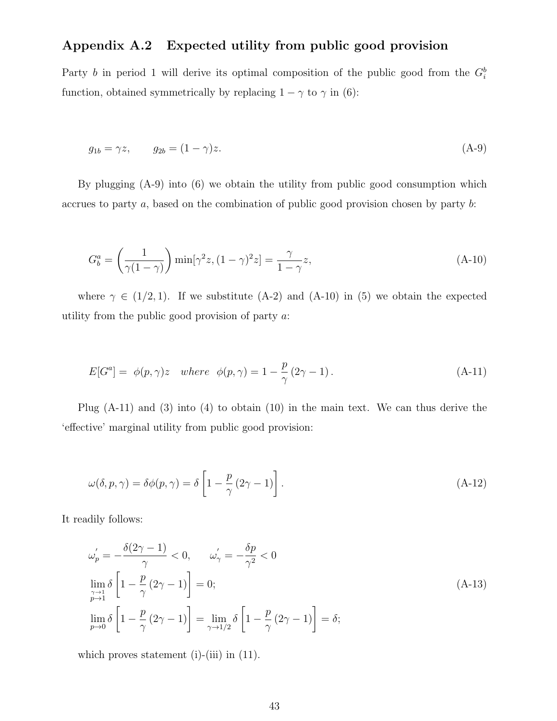### Appendix A.2 Expected utility from public good provision

Party b in period 1 will derive its optimal composition of the public good from the  $G_i^b$ function, obtained symmetrically by replacing  $1-\gamma$  to  $\gamma$  in (6):

$$
g_{1b} = \gamma z, \qquad g_{2b} = (1 - \gamma)z. \tag{A-9}
$$

By plugging (A-9) into (6) we obtain the utility from public good consumption which accrues to party a, based on the combination of public good provision chosen by party b:

$$
G_b^a = \left(\frac{1}{\gamma(1-\gamma)}\right) \min[\gamma^2 z, (1-\gamma)^2 z] = \frac{\gamma}{1-\gamma} z,
$$
\n(A-10)

where  $\gamma \in (1/2, 1)$ . If we substitute (A-2) and (A-10) in (5) we obtain the expected utility from the public good provision of party  $a$ :

$$
E[G^{a}] = \phi(p,\gamma)z \quad where \quad \phi(p,\gamma) = 1 - \frac{p}{\gamma}(2\gamma - 1). \tag{A-11}
$$

Plug  $(A-11)$  and  $(3)$  into  $(4)$  to obtain  $(10)$  in the main text. We can thus derive the 'effective' marginal utility from public good provision:

$$
\omega(\delta, p, \gamma) = \delta\phi(p, \gamma) = \delta\left[1 - \frac{p}{\gamma}(2\gamma - 1)\right].
$$
\n(A-12)

It readily follows:

$$
\omega'_{p} = -\frac{\delta(2\gamma - 1)}{\gamma} < 0, \qquad \omega'_{\gamma} = -\frac{\delta p}{\gamma^{2}} < 0
$$
\n
$$
\lim_{\substack{\gamma \to 1 \\ p \to 0}} \delta \left[ 1 - \frac{p}{\gamma} (2\gamma - 1) \right] = 0; \tag{A-13}
$$
\n
$$
\lim_{p \to 0} \delta \left[ 1 - \frac{p}{\gamma} (2\gamma - 1) \right] = \lim_{\gamma \to 1/2} \delta \left[ 1 - \frac{p}{\gamma} (2\gamma - 1) \right] = \delta;
$$

which proves statement (i)-(iii) in  $(11)$ .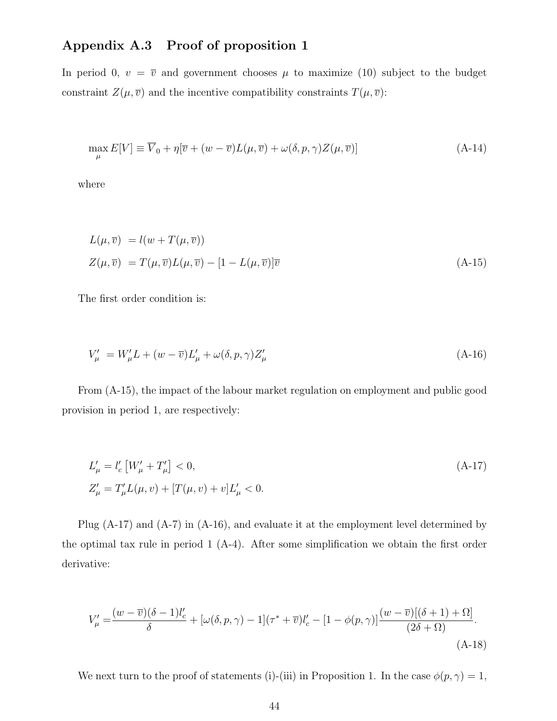### Appendix A.3 Proof of proposition 1

In period 0,  $v = \overline{v}$  and government chooses  $\mu$  to maximize (10) subject to the budget constraint  $Z(\mu, \overline{v})$  and the incentive compatibility constraints  $T(\mu, \overline{v})$ :

$$
\max_{\mu} E[V] \equiv \overline{V}_0 + \eta[\overline{v} + (w - \overline{v})L(\mu, \overline{v}) + \omega(\delta, p, \gamma)Z(\mu, \overline{v})]
$$
(A-14)

where

$$
L(\mu, \overline{v}) = l(w + T(\mu, \overline{v}))
$$
  
\n
$$
Z(\mu, \overline{v}) = T(\mu, \overline{v})L(\mu, \overline{v}) - [1 - L(\mu, \overline{v})]\overline{v}
$$
\n(A-15)

The first order condition is:

$$
V'_{\mu} = W'_{\mu}L + (w - \overline{v})L'_{\mu} + \omega(\delta, p, \gamma)Z'_{\mu}
$$
\n(A-16)

From (A-15), the impact of the labour market regulation on employment and public good provision in period 1, are respectively:

$$
L'_{\mu} = l'_{c} \left[ W'_{\mu} + T'_{\mu} \right] < 0,
$$
\n
$$
Z'_{\mu} = T'_{\mu} L(\mu, v) + [T(\mu, v) + v] L'_{\mu} < 0.
$$
\n(A-17)

Plug (A-17) and (A-7) in (A-16), and evaluate it at the employment level determined by the optimal tax rule in period 1 (A-4). After some simplification we obtain the first order derivative:

$$
V'_{\mu} = \frac{(w-\overline{v})(\delta-1)l'_{c}}{\delta} + [\omega(\delta, p, \gamma) - 1](\tau^* + \overline{v})l'_{c} - [1-\phi(p, \gamma)]\frac{(w-\overline{v})[(\delta+1)+\Omega]}{(2\delta+\Omega)}.
$$
\n(A-18)

We next turn to the proof of statements (i)-(iii) in Proposition 1. In the case  $\phi(p, \gamma) = 1$ ,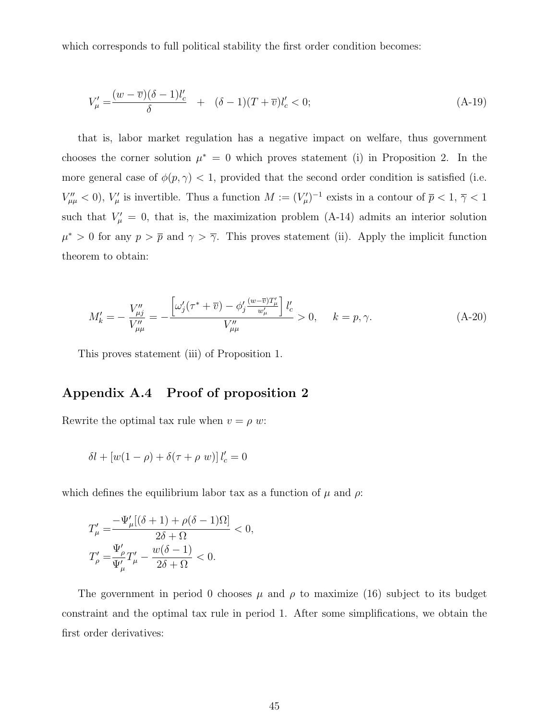which corresponds to full political stability the first order condition becomes:

$$
V'_{\mu} = \frac{(w - \overline{v})(\delta - 1)l'_{c}}{\delta} + (\delta - 1)(T + \overline{v})l'_{c} < 0;
$$
 (A-19)

that is, labor market regulation has a negative impact on welfare, thus government chooses the corner solution  $\mu^* = 0$  which proves statement (i) in Proposition 2. In the more general case of  $\phi(p, \gamma)$  < 1, provided that the second order condition is satisfied (i.e.  $V''_{\mu\mu}$  < 0),  $V'_\mu$  is invertible. Thus a function  $M := (V'_\mu)^{-1}$  exists in a contour of  $\bar{p}$  < 1,  $\bar{\gamma}$  < 1 such that  $V'_\mu = 0$ , that is, the maximization problem (A-14) admits an interior solution  $\mu^* > 0$  for any  $p > \bar{p}$  and  $\gamma > \bar{\gamma}$ . This proves statement (ii). Apply the implicit function theorem to obtain:

$$
M'_{k} = -\frac{V_{\mu j}''}{V_{\mu \mu}''} = -\frac{\left[\omega'_{j}(\tau^* + \overline{v}) - \phi'_{j}\frac{(w - \overline{v})T'_{\mu}}{w'_{\mu}}\right]l'_{c}}{V_{\mu \mu}''} > 0, \quad k = p, \gamma.
$$
 (A-20)

This proves statement (iii) of Proposition 1.

#### Appendix A.4 Proof of proposition 2

Rewrite the optimal tax rule when  $v = \rho w$ :

$$
\delta l + \left[w(1-\rho) + \delta(\tau+\rho\ w)\right]l_c' = 0
$$

which defines the equilibrium labor tax as a function of  $\mu$  and  $\rho$ :

$$
\begin{aligned} T'_\mu=&\frac{-\Psi'_\mu[(\delta+1)+\rho(\delta-1)\Omega]}{2\delta+\Omega}<0,\\ T'_\rho=&\frac{\Psi'_\rho}{\Psi'_\mu}T'_\mu-\frac{w(\delta-1)}{2\delta+\Omega}<0. \end{aligned}
$$

The government in period 0 chooses  $\mu$  and  $\rho$  to maximize (16) subject to its budget constraint and the optimal tax rule in period 1. After some simplifications, we obtain the first order derivatives: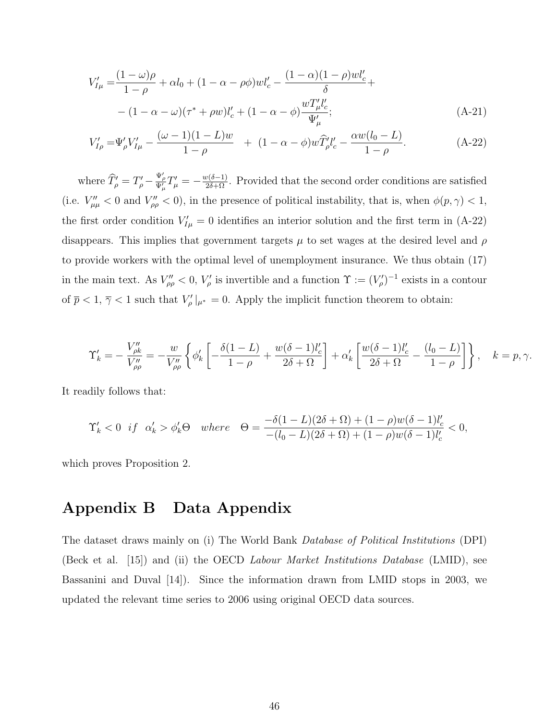$$
V'_{I\mu} = \frac{(1-\omega)\rho}{1-\rho} + \alpha l_0 + (1-\alpha-\rho\phi)wl'_{c} - \frac{(1-\alpha)(1-\rho)wl'_{c}}{\delta} +
$$
  
 
$$
- (1-\alpha-\omega)(\tau^*+\rho w)l'_{c} + (1-\alpha-\phi)\frac{wT'_{\mu}l'_{c}}{\Psi'_{\mu}};
$$
 (A-21)

$$
V'_{I\rho} = \Psi'_{\rho} V'_{I\mu} - \frac{(\omega - 1)(1 - L)w}{1 - \rho} + (1 - \alpha - \phi)w \hat{T}'_{\rho} l'_{c} - \frac{\alpha w(l_{0} - L)}{1 - \rho}.
$$
 (A-22)

where  $\hat{T}'_{\rho} = T'_{\rho} - \frac{\Psi'_{\rho}}{\Psi'_{\mu}} T'_{\mu} = -\frac{w(\delta-1)}{2\delta+\Omega}$ . Provided that the second order conditions are satisfied (i.e.  $V''_{\mu\mu} < 0$  and  $V''_{\rho\rho} < 0$ ), in the presence of political instability, that is, when  $\phi(p, \gamma) < 1$ , the first order condition  $V'_{I\mu} = 0$  identifies an interior solution and the first term in (A-22) disappears. This implies that government targets  $\mu$  to set wages at the desired level and  $\rho$ to provide workers with the optimal level of unemployment insurance. We thus obtain (17) in the main text. As  $V''_{\rho\rho} < 0$ ,  $V'_{\rho}$  is invertible and a function  $\Upsilon := (V'_{\rho})^{-1}$  exists in a contour of  $\bar{p} < 1$ ,  $\bar{\gamma} < 1$  such that  $V'_{\rho}|_{\mu^*} = 0$ . Apply the implicit function theorem to obtain:

$$
\Upsilon'_{k} = -\frac{V''_{\rho k}}{V''_{\rho \rho}} = -\frac{w}{V''_{\rho \rho}} \left\{ \phi'_{k} \left[ -\frac{\delta(1-L)}{1-\rho} + \frac{w(\delta-1)l'_{c}}{2\delta+\Omega} \right] + \alpha'_{k} \left[ \frac{w(\delta-1)l'_{c}}{2\delta+\Omega} - \frac{(l_{0}-L)}{1-\rho} \right] \right\}, \quad k=p, \gamma.
$$

It readily follows that:

$$
\Upsilon_k'<0 \ \ if \ \ \alpha_k'>\phi_k'\Theta \quad where \quad \Theta=\frac{-\delta(1-L)(2\delta+\Omega)+(1-\rho)w(\delta-1)l_c'}{-(l_0-L)(2\delta+\Omega)+(1-\rho)w(\delta-1)l_c'}<0,
$$

which proves Proposition 2.

## Appendix B Data Appendix

The dataset draws mainly on (i) The World Bank Database of Political Institutions (DPI) (Beck et al. [15]) and (ii) the OECD Labour Market Institutions Database (LMID), see Bassanini and Duval [14]). Since the information drawn from LMID stops in 2003, we updated the relevant time series to 2006 using original OECD data sources.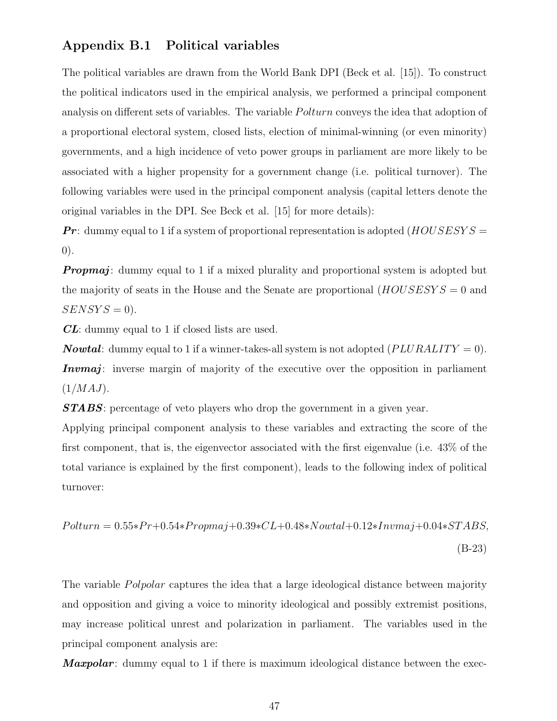#### Appendix B.1 Political variables

The political variables are drawn from the World Bank DPI (Beck et al. [15]). To construct the political indicators used in the empirical analysis, we performed a principal component analysis on different sets of variables. The variable *Polturn* conveys the idea that adoption of a proportional electoral system, closed lists, election of minimal-winning (or even minority) governments, and a high incidence of veto power groups in parliament are more likely to be associated with a higher propensity for a government change (i.e. political turnover). The following variables were used in the principal component analysis (capital letters denote the original variables in the DPI. See Beck et al. [15] for more details):

**Pr**: dummy equal to 1 if a system of proportional representation is adopted  $(HOUS ESYS =$ 0).

**Propmaj:** dummy equal to 1 if a mixed plurality and proportional system is adopted but the majority of seats in the House and the Senate are proportional  $(HOUS ESYS = 0$  and  $SENSYS = 0$ .

CL: dummy equal to 1 if closed lists are used.

**Nowtal:** dummy equal to 1 if a winner-takes-all system is not adopted  $(PLURALITY = 0)$ . Invmaj: inverse margin of majority of the executive over the opposition in parliament  $(1/MAJ)$ .

**STABS**: percentage of veto players who drop the government in a given year.

Applying principal component analysis to these variables and extracting the score of the first component, that is, the eigenvector associated with the first eigenvalue (i.e. 43% of the total variance is explained by the first component), leads to the following index of political turnover:

$$
Polturn = 0.55*Pr+0.54*Propmaj+0.39*CL+0.48*Now tal+0.12*Invmaj+0.04*STABS,
$$
\n(B-23)

The variable *Polpolar* captures the idea that a large ideological distance between majority and opposition and giving a voice to minority ideological and possibly extremist positions, may increase political unrest and polarization in parliament. The variables used in the principal component analysis are:

**Maxpolar:** dummy equal to 1 if there is maximum ideological distance between the exec-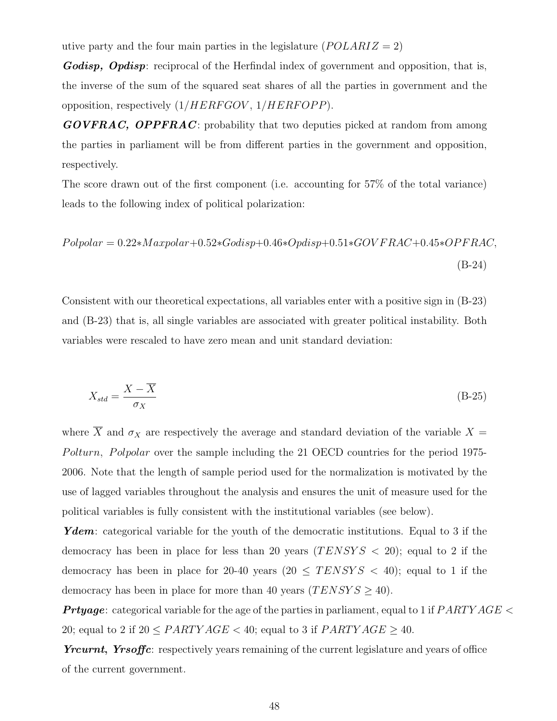utive party and the four main parties in the legislature  $(POLARIZ = 2)$ 

Godisp, Opdisp: reciprocal of the Herfindal index of government and opposition, that is, the inverse of the sum of the squared seat shares of all the parties in government and the opposition, respectively  $(1/HERFGOV, 1/HERFOPP)$ .

 $GOVFRAC$ , **OPPFRAC**: probability that two deputies picked at random from among the parties in parliament will be from different parties in the government and opposition, respectively.

The score drawn out of the first component (i.e. accounting for 57% of the total variance) leads to the following index of political polarization:

$$
Polpolar = 0.22 * Maxpolar + 0.52 * Godisp + 0.46 * Opdisp + 0.51 * GOV FRAC + 0.45 * OPFRAC,
$$
\n(B-24)

Consistent with our theoretical expectations, all variables enter with a positive sign in (B-23) and (B-23) that is, all single variables are associated with greater political instability. Both variables were rescaled to have zero mean and unit standard deviation:

$$
X_{std} = \frac{X - \overline{X}}{\sigma_X} \tag{B-25}
$$

where  $\overline{X}$  and  $\sigma_X$  are respectively the average and standard deviation of the variable  $X =$ Polturn, Polpolar over the sample including the 21 OECD countries for the period 1975-2006. Note that the length of sample period used for the normalization is motivated by the use of lagged variables throughout the analysis and ensures the unit of measure used for the political variables is fully consistent with the institutional variables (see below).

Ydem: categorical variable for the youth of the democratic institutions. Equal to 3 if the democracy has been in place for less than 20 years  $(TENSYS < 20)$ ; equal to 2 if the democracy has been in place for 20-40 years (20  $\leq$  TENSYS  $\lt$  40); equal to 1 if the democracy has been in place for more than 40 years  $(TENSYS \geq 40)$ .

**Prtyage:** categorical variable for the age of the parties in parliament, equal to 1 if  $PARTYAGE <$ 20; equal to 2 if  $20 \leq PARTYAGE < 40$ ; equal to 3 if  $PARTYAGE \geq 40$ .

Yrcurnt, Yrsoffic: respectively years remaining of the current legislature and years of office of the current government.